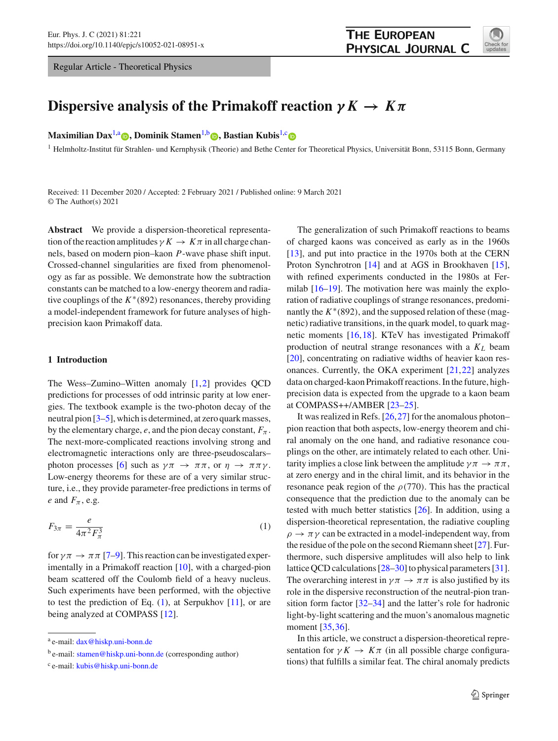Regular Article - Theoretical Physics



# **Dispersive analysis of the Primakoff reaction**  $\gamma K \to K \pi$

**Maximilian Dax**<sup>1[,](http://orcid.org/0000-0003-0036-2928)a</sup> **(b)**, Dominik Stamen<sup>1,b</sup> **(b)**, Bastian Kubis<sup>1,[c](http://orcid.org/0000-0002-1541-6581)</sup> **(b)** 

<sup>1</sup> Helmholtz-Institut für Strahlen- und Kernphysik (Theorie) and Bethe Center for Theoretical Physics, Universität Bonn, 53115 Bonn, Germany

Received: 11 December 2020 / Accepted: 2 February 2021 / Published online: 9 March 2021 © The Author(s) 2021

**Abstract** We provide a dispersion-theoretical representation of the reaction amplitudes  $\gamma K \to K \pi$  in all charge channels, based on modern pion–kaon *P*-wave phase shift input. Crossed-channel singularities are fixed from phenomenology as far as possible. We demonstrate how the subtraction constants can be matched to a low-energy theorem and radiative couplings of the *K*∗(892) resonances, thereby providing a model-independent framework for future analyses of highprecision kaon Primakoff data.

### **1 Introduction**

The Wess–Zumino–Witten anomaly [\[1,](#page-15-0)[2\]](#page-15-1) provides QCD predictions for processes of odd intrinsic parity at low energies. The textbook example is the two-photon decay of the neutral pion [\[3](#page-15-2)[–5](#page-15-3)], which is determined, at zero quark masses, by the elementary charge,  $e$ , and the pion decay constant,  $F_{\pi}$ . The next-more-complicated reactions involving strong and electromagnetic interactions only are three-pseudoscalars– photon processes [\[6\]](#page-16-0) such as  $\gamma \pi \to \pi \pi$ , or  $\eta \to \pi \pi \gamma$ . Low-energy theorems for these are of a very similar structure, i.e., they provide parameter-free predictions in terms of *e* and  $F_\pi$ , e.g.

<span id="page-0-0"></span>
$$
F_{3\pi} = \frac{e}{4\pi^2 F_\pi^3} \tag{1}
$$

for  $\gamma \pi \to \pi \pi$  [\[7](#page-16-1)[–9](#page-16-2)]. This reaction can be investigated experimentally in a Primakoff reaction [\[10](#page-16-3)], with a charged-pion beam scattered off the Coulomb field of a heavy nucleus. Such experiments have been performed, with the objective to test the prediction of Eq. [\(1\)](#page-0-0), at Serpukhov [\[11\]](#page-16-4), or are being analyzed at COMPASS [\[12\]](#page-16-5).

The generalization of such Primakoff reactions to beams of charged kaons was conceived as early as in the 1960s [\[13](#page-16-6)], and put into practice in the 1970s both at the CERN Proton Synchrotron [\[14\]](#page-16-7) and at AGS in Brookhaven [\[15](#page-16-8)], with refined experiments conducted in the 1980s at Fermilab [\[16](#page-16-9)[–19](#page-16-10)]. The motivation here was mainly the exploration of radiative couplings of strange resonances, predominantly the  $K^*(892)$ , and the supposed relation of these (magnetic) radiative transitions, in the quark model, to quark magnetic moments [\[16,](#page-16-9)[18\]](#page-16-11). KTeV has investigated Primakoff production of neutral strange resonances with a *KL* beam [\[20](#page-16-12)], concentrating on radiative widths of heavier kaon resonances. Currently, the OKA experiment [\[21](#page-16-13)[,22](#page-16-14)] analyzes data on charged-kaon Primakoff reactions. In the future, highprecision data is expected from the upgrade to a kaon beam at COMPASS++/AMBER [\[23](#page-16-15)[–25\]](#page-16-16).

It was realized in Refs. [\[26](#page-16-17)[,27](#page-16-18)] for the anomalous photon– pion reaction that both aspects, low-energy theorem and chiral anomaly on the one hand, and radiative resonance couplings on the other, are intimately related to each other. Unitarity implies a close link between the amplitude  $\gamma \pi \rightarrow \pi \pi$ , at zero energy and in the chiral limit, and its behavior in the resonance peak region of the  $\rho$ (770). This has the practical consequence that the prediction due to the anomaly can be tested with much better statistics [\[26\]](#page-16-17). In addition, using a dispersion-theoretical representation, the radiative coupling  $\rho \rightarrow \pi \gamma$  can be extracted in a model-independent way, from the residue of the pole on the second Riemann sheet [\[27\]](#page-16-18). Furthermore, such dispersive amplitudes will also help to link lattice QCD calculations [\[28](#page-16-19)[–30\]](#page-16-20) to physical parameters [\[31](#page-16-21)]. The overarching interest in  $\gamma \pi \to \pi \pi$  is also justified by its role in the dispersive reconstruction of the neutral-pion transition form factor [\[32](#page-16-22)[–34\]](#page-16-23) and the latter's role for hadronic light-by-light scattering and the muon's anomalous magnetic moment [\[35,](#page-16-24)[36\]](#page-16-25).

In this article, we construct a dispersion-theoretical representation for  $\gamma K \to K \pi$  (in all possible charge configurations) that fulfills a similar feat. The chiral anomaly predicts

<sup>a</sup> e-mail: [dax@hiskp.uni-bonn.de](mailto:dax@hiskp.uni-bonn.de)

b e-mail: [stamen@hiskp.uni-bonn.de](mailto:stamen@hiskp.uni-bonn.de) (corresponding author)

<sup>c</sup> e-mail: [kubis@hiskp.uni-bonn.de](mailto:kubis@hiskp.uni-bonn.de)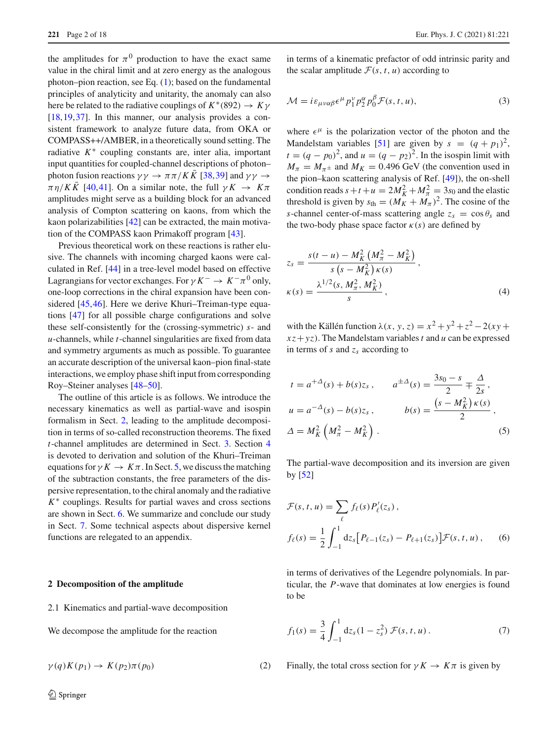the amplitudes for  $\pi^0$  production to have the exact same value in the chiral limit and at zero energy as the analogous photon–pion reaction, see Eq. [\(1\)](#page-0-0); based on the fundamental principles of analyticity and unitarity, the anomaly can also here be related to the radiative couplings of  $K^*(892) \rightarrow K\gamma$ [\[18](#page-16-11),[19,](#page-16-10)[37\]](#page-16-26). In this manner, our analysis provides a consistent framework to analyze future data, from OKA or COMPASS++/AMBER, in a theoretically sound setting. The radiative  $K^*$  coupling constants are, inter alia, important input quantities for coupled-channel descriptions of photon– photon fusion reactions  $\gamma \gamma \rightarrow \pi \pi / K \bar{K}$  [\[38](#page-16-27)[,39](#page-16-28)] and  $\gamma \gamma \rightarrow$  $\pi \eta/K\overline{K}$  [\[40](#page-16-29),[41\]](#page-16-30). On a similar note, the full  $\gamma K \to K\pi$ amplitudes might serve as a building block for an advanced analysis of Compton scattering on kaons, from which the kaon polarizabilities [\[42](#page-16-31)] can be extracted, the main motivation of the COMPASS kaon Primakoff program [\[43](#page-16-32)].

Previous theoretical work on these reactions is rather elusive. The channels with incoming charged kaons were calculated in Ref. [\[44\]](#page-16-33) in a tree-level model based on effective Lagrangians for vector exchanges. For  $\gamma K^- \to K^-\pi^0$  only, one-loop corrections in the chiral expansion have been considered [\[45](#page-16-34)[,46](#page-16-35)]. Here we derive Khuri–Treiman-type equations [\[47](#page-16-36)] for all possible charge configurations and solve these self-consistently for the (crossing-symmetric) *s*- and *u*-channels, while *t*-channel singularities are fixed from data and symmetry arguments as much as possible. To guarantee an accurate description of the universal kaon–pion final-state interactions, we employ phase shift input from corresponding Roy–Steiner analyses [\[48](#page-16-37)[–50\]](#page-16-38).

The outline of this article is as follows. We introduce the necessary kinematics as well as partial-wave and isospin formalism in Sect. [2,](#page-1-0) leading to the amplitude decomposition in terms of so-called reconstruction theorems. The fixed *t*-channel amplitudes are determined in Sect. [3.](#page-3-0) Section [4](#page-5-0) is devoted to derivation and solution of the Khuri–Treiman equations for  $\gamma K \to K \pi$ . In Sect. [5,](#page-8-0) we discuss the matching of the subtraction constants, the free parameters of the dispersive representation, to the chiral anomaly and the radiative *K*∗ couplings. Results for partial waves and cross sections are shown in Sect. [6.](#page-10-0) We summarize and conclude our study in Sect. [7.](#page-12-0) Some technical aspects about dispersive kernel functions are relegated to an appendix.

#### <span id="page-1-0"></span>**2 Decomposition of the amplitude**

2.1 Kinematics and partial-wave decomposition

We decompose the amplitude for the reaction

$$
\gamma(q)K(p_1) \to K(p_2)\pi(p_0) \tag{2}
$$

<span id="page-1-2"></span>in terms of a kinematic prefactor of odd intrinsic parity and the scalar amplitude  $\mathcal{F}(s, t, u)$  according to

$$
\mathcal{M} = i\varepsilon_{\mu\nu\alpha\beta}\epsilon^{\mu}p_1^{\nu}p_2^{\alpha}p_0^{\beta}\mathcal{F}(s,t,u),\tag{3}
$$

where  $\epsilon^{\mu}$  is the polarization vector of the photon and the Mandelstam variables [\[51](#page-16-39)] are given by  $s = (q + p_1)^2$ ,  $t = (q - p_0)^2$ , and  $u = (q - p_2)^2$ . In the isospin limit with  $M_{\pi} = M_{\pi^{\pm}}$  and  $M_K = 0.496$  GeV (the convention used in the pion–kaon scattering analysis of Ref. [\[49\]](#page-16-40)), the on-shell condition reads  $s + t + u = 2M_K^2 + M_\pi^2 = 3s_0$  and the elastic threshold is given by  $s_{\text{th}} = (M_K + M_\pi)^2$ . The cosine of the *s*-channel center-of-mass scattering angle  $z_s = \cos \theta_s$  and the two-body phase space factor  $\kappa(s)$  are defined by

$$
z_{s} = \frac{s(t - u) - M_{K}^{2} (M_{\pi}^{2} - M_{K}^{2})}{s (s - M_{K}^{2}) \kappa(s)},
$$
  

$$
\kappa(s) = \frac{\lambda^{1/2}(s, M_{\pi}^{2}, M_{K}^{2})}{s},
$$
 (4)

with the Källén function  $\lambda(x, y, z) = x^2 + y^2 + z^2 - 2(xy + z)$  $xz + yz$ ). The Mandelstam variables *t* and *u* can be expressed in terms of *s* and *zs* according to

$$
t = a^{+\Delta}(s) + b(s)z_s, \qquad a^{\pm\Delta}(s) = \frac{3s_0 - s}{2} \mp \frac{\Delta}{2s},
$$
  

$$
u = a^{-\Delta}(s) - b(s)z_s, \qquad b(s) = \frac{(s - M_K^2) \kappa(s)}{2},
$$
  

$$
\Delta = M_K^2 \left(M_\pi^2 - M_K^2\right).
$$
 (5)

The partial-wave decomposition and its inversion are given by [\[52\]](#page-16-41)

<span id="page-1-1"></span>
$$
\mathcal{F}(s, t, u) = \sum_{\ell} f_{\ell}(s) P'_{\ell}(z_s),
$$
  

$$
f_{\ell}(s) = \frac{1}{2} \int_{-1}^{1} dz_s [P_{\ell-1}(z_s) - P_{\ell+1}(z_s)] \mathcal{F}(s, t, u), \quad (6)
$$

<span id="page-1-3"></span>in terms of derivatives of the Legendre polynomials. In particular, the *P*-wave that dominates at low energies is found to be

$$
f_1(s) = \frac{3}{4} \int_{-1}^{1} dz_s (1 - z_s^2) \mathcal{F}(s, t, u).
$$
 (7)

Finally, the total cross section for  $\gamma K \to K \pi$  is given by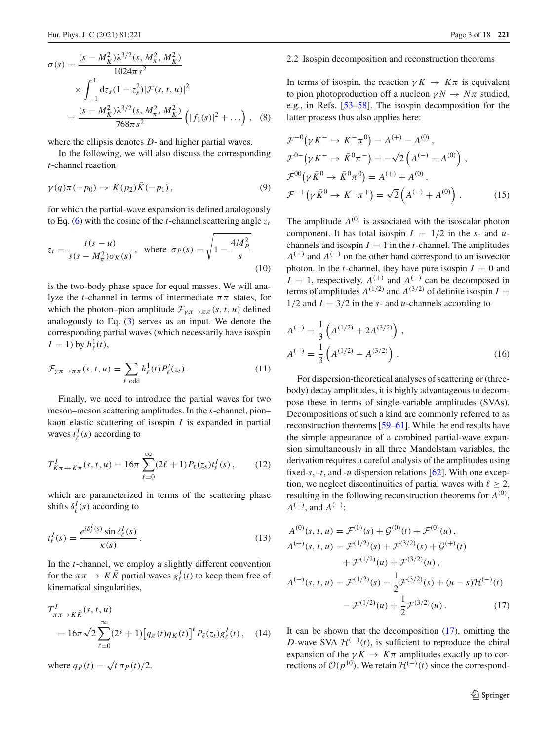$$
\sigma(s) = \frac{(s - M_K^2)\lambda^{3/2}(s, M_\pi^2, M_K^2)}{1024\pi s^2}
$$
  
 
$$
\times \int_{-1}^1 dz_s (1 - z_s^2) |\mathcal{F}(s, t, u)|^2
$$
  
= 
$$
\frac{(s - M_K^2)\lambda^{3/2}(s, M_\pi^2, M_K^2)}{768\pi s^2} (|f_1(s)|^2 + ...),
$$
 (8)

where the ellipsis denotes *D*- and higher partial waves.

In the following, we will also discuss the corresponding *t*-channel reaction

$$
\gamma(q)\pi(-p_0) \to K(p_2)\bar{K}(-p_1),\tag{9}
$$

for which the partial-wave expansion is defined analogously to Eq. [\(6\)](#page-1-1) with the cosine of the *t*-channel scattering angle  $z_t$ 

$$
z_t = \frac{t(s - u)}{s(s - M_\pi^2)\sigma_K(s)}, \text{ where } \sigma_P(s) = \sqrt{1 - \frac{4M_P^2}{s}}
$$
\n(10)

is the two-body phase space for equal masses. We will analyze the *t*-channel in terms of intermediate  $\pi \pi$  states, for which the photon–pion amplitude  $\mathcal{F}_{\gamma\pi \to \pi\pi}(s, t, u)$  defined analogously to Eq. [\(3\)](#page-1-2) serves as an input. We denote the corresponding partial waves (which necessarily have isospin  $I = 1$ ) by  $h_{\ell}^{1}(t)$ ,

<span id="page-2-1"></span>
$$
\mathcal{F}_{\gamma\pi \to \pi\pi}(s, t, u) = \sum_{\ell \text{ odd}} h_{\ell}^1(t) P_{\ell}^{\prime}(z_t).
$$
 (11)

Finally, we need to introduce the partial waves for two meson–meson scattering amplitudes. In the *s*-channel, pion– kaon elastic scattering of isospin *I* is expanded in partial waves  $t_{\ell}^{I}(s)$  according to

$$
T_{K\pi \to K\pi}^{I}(s, t, u) = 16\pi \sum_{\ell=0}^{\infty} (2\ell + 1) P_{\ell}(z_{s}) t_{\ell}^{I}(s), \qquad (12)
$$

which are parameterized in terms of the scattering phase shifts  $\delta^I_\ell(s)$  according to

$$
t_{\ell}^{I}(s) = \frac{e^{i\delta_{\ell}^{I}(s)}\sin\delta_{\ell}^{I}(s)}{\kappa(s)}.
$$
\n(13)

In the *t*-channel, we employ a slightly different convention for the  $\pi \pi \to K \bar{K}$  partial waves  $g_{\ell}^{I}(t)$  to keep them free of kinematical singularities,

$$
T_{\pi\pi \to K\bar{K}}^{I}(s, t, u)
$$
  
=  $16\pi \sqrt{2} \sum_{\ell=0}^{\infty} (2\ell + 1) [q_{\pi}(t)q_{K}(t)]^{\ell} P_{\ell}(z_{t})g_{\ell}^{I}(t),$  (14)

where  $q_P(t) = \sqrt{t} \sigma_P(t)/2$ .

#### <span id="page-2-3"></span>2.2 Isospin decomposition and reconstruction theorems

<span id="page-2-4"></span>In terms of isospin, the reaction  $\gamma K \to K \pi$  is equivalent to pion photoproduction off a nucleon  $\gamma N \to N\pi$  studied, e.g., in Refs. [\[53](#page-16-42)[–58\]](#page-16-43). The isospin decomposition for the latter process thus also applies here:

$$
\mathcal{F}^{-0}(\gamma K^{-} \to K^{-}\pi^{0}) = A^{(+)} - A^{(0)},
$$
  
\n
$$
\mathcal{F}^{0-}(\gamma K^{-} \to \bar{K}^{0}\pi^{-}) = -\sqrt{2} (A^{(-)} - A^{(0)}) ,
$$
  
\n
$$
\mathcal{F}^{00}(\gamma \bar{K}^{0} \to \bar{K}^{0}\pi^{0}) = A^{(+)} + A^{(0)},
$$
  
\n
$$
\mathcal{F}^{-+}(\gamma \bar{K}^{0} \to K^{-}\pi^{+}) = \sqrt{2} (A^{(-)} + A^{(0)}) .
$$
 (15)

The amplitude  $A^{(0)}$  is associated with the isoscalar photon component. It has total isospin  $I = 1/2$  in the *s*- and *u*channels and isospin  $I = 1$  in the *t*-channel. The amplitudes  $A^{(+)}$  and  $A^{(-)}$  on the other hand correspond to an isovector photon. In the *t*-channel, they have pure isospin  $I = 0$  and *I* = 1, respectively.  $A^{(+)}$  and  $A^{(-)}$  can be decomposed in terms of amplitudes  $A^{(1/2)}$  and  $A^{(3/2)}$  of definite isospin  $I =$  $1/2$  and  $I = 3/2$  in the *s*- and *u*-channels according to

$$
A^{(+)} = \frac{1}{3} \left( A^{(1/2)} + 2A^{(3/2)} \right),
$$
  
\n
$$
A^{(-)} = \frac{1}{3} \left( A^{(1/2)} - A^{(3/2)} \right).
$$
\n(16)

For dispersion-theoretical analyses of scattering or (threebody) decay amplitudes, it is highly advantageous to decompose these in terms of single-variable amplitudes (SVAs). Decompositions of such a kind are commonly referred to as reconstruction theorems [\[59](#page-16-44)[–61](#page-16-45)]. While the end results have the simple appearance of a combined partial-wave expansion simultaneously in all three Mandelstam variables, the derivation requires a careful analysis of the amplitudes using fixed-*s*, -*t*, and -*u* dispersion relations [\[62](#page-16-46)]. With one exception, we neglect discontinuities of partial waves with  $\ell \geq 2$ , resulting in the following reconstruction theorems for  $A^{(0)}$ ,  $A^{(+)}$ , and  $A^{(-)}$ :

$$
A^{(0)}(s, t, u) = \mathcal{F}^{(0)}(s) + \mathcal{G}^{(0)}(t) + \mathcal{F}^{(0)}(u),
$$
  
\n
$$
A^{(+)}(s, t, u) = \mathcal{F}^{(1/2)}(s) + \mathcal{F}^{(3/2)}(s) + \mathcal{G}^{(+)}(t)
$$
  
\n
$$
+ \mathcal{F}^{(1/2)}(u) + \mathcal{F}^{(3/2)}(u),
$$
  
\n
$$
A^{(-)}(s, t, u) = \mathcal{F}^{(1/2)}(s) - \frac{1}{2}\mathcal{F}^{(3/2)}(s) + (u - s)\mathcal{H}^{(-)}(t)
$$
  
\n
$$
- \mathcal{F}^{(1/2)}(u) + \frac{1}{2}\mathcal{F}^{(3/2)}(u). \tag{17}
$$

<span id="page-2-2"></span><span id="page-2-0"></span>It can be shown that the decomposition [\(17\)](#page-2-0), omitting the *D*-wave SVA  $\mathcal{H}^{(-)}(t)$ , is sufficient to reproduce the chiral expansion of the  $\gamma K \to K \pi$  amplitudes exactly up to corrections of  $O(p^{10})$ . We retain  $\mathcal{H}^{(-)}(t)$  since the correspond-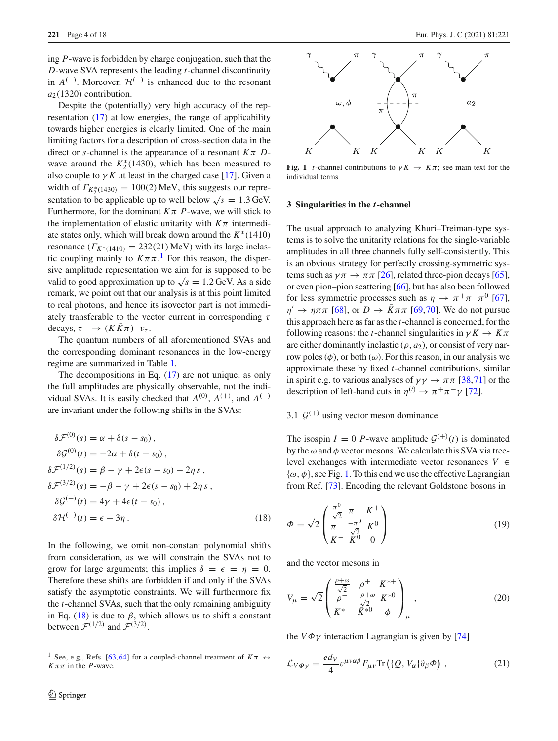ing *P*-wave is forbidden by charge conjugation, such that the *D*-wave SVA represents the leading *t*-channel discontinuity in  $A^{(-)}$ . Moreover,  $\mathcal{H}^{(-)}$  is enhanced due to the resonant  $a_2(1320)$  contribution.

Despite the (potentially) very high accuracy of the representation [\(17\)](#page-2-0) at low energies, the range of applicability towards higher energies is clearly limited. One of the main limiting factors for a description of cross-section data in the direct or *s*-channel is the appearance of a resonant  $K\pi$  *D*wave around the  $K_2^*(1430)$ , which has been measured to also couple to  $\gamma K$  at least in the charged case [\[17\]](#page-16-47). Given a width of  $\Gamma_{K_2^*(1430)} = 100(2)$  MeV, this suggests our representation to be applicable up to well below  $\sqrt{s} = 1.3$  GeV. Furthermore, for the dominant  $K\pi$  *P*-wave, we will stick to the implementation of elastic unitarity with  $K\pi$  intermediate states only, which will break down around the *K*∗(1410) resonance  $(\Gamma_{K^*(1410)} = 232(21) \text{ MeV})$  with its large inelastic coupling mainly to  $K \pi \pi$ .<sup>[1](#page-3-1)</sup> For this reason, the dispersive amplitude representation we aim for is supposed to be valid to good approximation up to  $\sqrt{s} = 1.2$  GeV. As a side remark, we point out that our analysis is at this point limited to real photons, and hence its isovector part is not immediately transferable to the vector current in corresponding  $\tau$ decays,  $\tau^- \to (K\bar{K}\pi)^-\nu_\tau$ .

The quantum numbers of all aforementioned SVAs and the corresponding dominant resonances in the low-energy regime are summarized in Table [1.](#page-4-0)

The decompositions in Eq. [\(17\)](#page-2-0) are not unique, as only the full amplitudes are physically observable, not the individual SVAs. It is easily checked that  $A^{(0)}$ ,  $A^{(+)}$ , and  $A^{(-)}$ are invariant under the following shifts in the SVAs:

$$
\delta \mathcal{F}^{(0)}(s) = \alpha + \delta(s - s_0),
$$
  
\n
$$
\delta \mathcal{G}^{(0)}(t) = -2\alpha + \delta(t - s_0),
$$
  
\n
$$
\delta \mathcal{F}^{(1/2)}(s) = \beta - \gamma + 2\epsilon(s - s_0) - 2\eta s,
$$
  
\n
$$
\delta \mathcal{F}^{(3/2)}(s) = -\beta - \gamma + 2\epsilon(s - s_0) + 2\eta s,
$$
  
\n
$$
\delta \mathcal{G}^{(+)}(t) = 4\gamma + 4\epsilon(t - s_0),
$$
  
\n
$$
\delta \mathcal{H}^{(-)}(t) = \epsilon - 3\eta.
$$
\n(18)

In the following, we omit non-constant polynomial shifts from consideration, as we will constrain the SVAs not to grow for large arguments; this implies  $\delta = \epsilon = \eta = 0$ . Therefore these shifts are forbidden if and only if the SVAs satisfy the asymptotic constraints. We will furthermore fix the *t*-channel SVAs, such that the only remaining ambiguity in Eq. [\(18\)](#page-3-2) is due to  $\beta$ , which allows us to shift a constant between  $\mathcal{F}^{(1/2)}$  and  $\mathcal{F}^{(3/2)}$ .



<span id="page-3-3"></span>**Fig. 1** *t*-channel contributions to  $\gamma K \to K \pi$ ; see main text for the individual terms

### <span id="page-3-0"></span>**3 Singularities in the** *t***-channel**

The usual approach to analyzing Khuri–Treiman-type systems is to solve the unitarity relations for the single-variable amplitudes in all three channels fully self-consistently. This is an obvious strategy for perfectly crossing-symmetric systems such as  $\gamma \pi \rightarrow \pi \pi$  [\[26\]](#page-16-17), related three-pion decays [\[65](#page-17-2)], or even pion–pion scattering [\[66\]](#page-17-3), but has also been followed for less symmetric processes such as  $\eta \to \pi^+ \pi^- \pi^0$  [\[67](#page-17-4)],  $\eta' \to \eta \pi \pi$  [\[68](#page-17-5)], or  $D \to \bar{K} \pi \pi$  [\[69,](#page-17-6)[70\]](#page-17-7). We do not pursue this approach here as far as the *t*-channel is concerned, for the following reasons: the *t*-channel singularities in  $\gamma K \to K \pi$ are either dominantly inelastic  $(\rho, a_2)$ , or consist of very narrow poles  $(\phi)$ , or both  $(\omega)$ . For this reason, in our analysis we approximate these by fixed *t*-channel contributions, similar in spirit e.g. to various analyses of  $\gamma \gamma \rightarrow \pi \pi$  [\[38,](#page-16-27)[71\]](#page-17-8) or the description of left-hand cuts in  $\eta^{(1)} \to \pi^+ \pi^- \gamma$  [\[72](#page-17-9)].

## <span id="page-3-5"></span>3.1  $\mathcal{G}^{(+)}$  using vector meson dominance

The isospin  $I = 0$  *P*-wave amplitude  $\mathcal{G}^{(+)}(t)$  is dominated by the  $\omega$  and  $\phi$  vector mesons. We calculate this SVA via treelevel exchanges with intermediate vector resonances  $V \in$  $\{\omega, \phi\}$ , see Fig. [1.](#page-3-3) To this end we use the effective Lagrangian from Ref. [\[73\]](#page-17-10). Encoding the relevant Goldstone bosons in

<span id="page-3-2"></span>
$$
\Phi = \sqrt{2} \begin{pmatrix} \frac{\pi^0}{\sqrt{2}} & \pi^+ & K^+ \\ \pi^- & \frac{-\pi^0}{\sqrt{2}} & K^0 \\ K^- & \bar{K}^0 & 0 \end{pmatrix}
$$
(19)

and the vector mesons in

$$
V_{\mu} = \sqrt{2} \begin{pmatrix} \frac{\rho + \omega}{\sqrt{2}} & \rho^{+} & K^{*+} \\ \rho^{-} & \frac{-\rho + \omega}{\sqrt{2}} & K^{*0} \\ K^{*-} & K^{*0} & \phi \end{pmatrix}_{\mu},
$$
 (20)

the  $V\Phi\gamma$  interaction Lagrangian is given by [\[74](#page-17-11)]

<span id="page-3-4"></span>
$$
\mathcal{L}_{V\Phi\gamma} = \frac{ed_V}{4} \varepsilon^{\mu\nu\alpha\beta} F_{\mu\nu} \text{Tr} \left( \{ Q, V_{\alpha} \} \partial_{\beta} \Phi \right), \tag{21}
$$

<span id="page-3-1"></span>See, e.g., Refs. [\[63](#page-17-0)[,64](#page-17-1)] for a coupled-channel treatment of  $K\pi \leftrightarrow$  $K\pi\pi$  in the *P*-wave.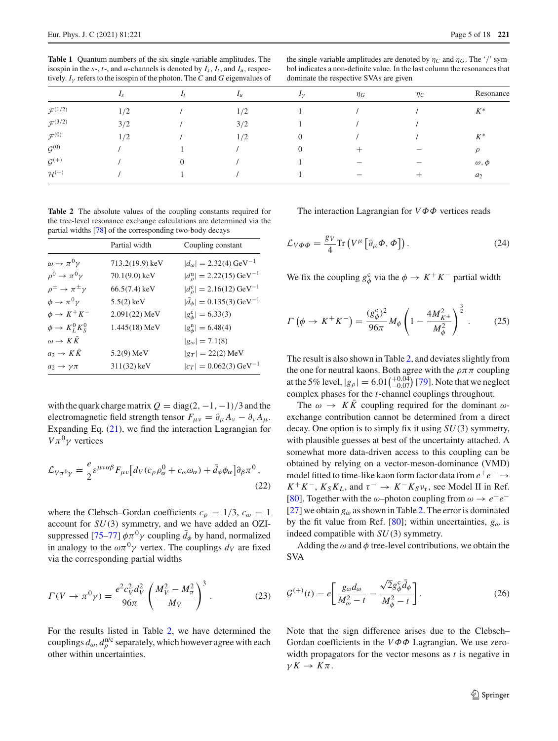<span id="page-4-0"></span>**Table 1** Quantum numbers of the six single-variable amplitudes. The isospin in the  $s$ -,  $t$ -, and  $u$ -channels is denoted by  $I_s$ ,  $I_t$ , and  $I_u$ , respectively.  $I_{\nu}$  refers to the isospin of the photon. The *C* and *G* eigenvalues of

the single-variable amplitudes are denoted by  $\eta_C$  and  $\eta_G$ . The '/' symbol indicates a non-definite value. In the last column the resonances that dominate the respective SVAs are given

|                       | $I_{S}$ | $I_{\mathcal{U}}$ | $I_{\mathcal{V}}$ | $\eta_G$          | $\eta_C$ | Resonance      |
|-----------------------|---------|-------------------|-------------------|-------------------|----------|----------------|
| $\mathcal{F}^{(1/2)}$ | 1/2     | 1/2               |                   |                   |          | $K^*$          |
| $\mathcal{F}^{(3/2)}$ | 3/2     | 3/2               |                   |                   |          |                |
| $\mathcal{F}^{(0)}$   | 1/2     | 1/2               | 0                 |                   |          | $K^*$          |
| $\mathcal{G}^{(0)}$   |         |                   |                   |                   |          | $\rho$         |
| $\mathcal{G}^{(+)}$   |         |                   |                   | $\qquad \qquad -$ | —        | $\omega, \phi$ |
| $\mathcal{H}^{(-)}$   |         |                   |                   |                   |          | $a_2$          |

<span id="page-4-1"></span>**Table 2** The absolute values of the coupling constants required for the tree-level resonance exchange calculations are determined via the partial widths [\[78\]](#page-17-12) of the corresponding two-body decays

|                                           | Partial width     | Coupling constant                                 |
|-------------------------------------------|-------------------|---------------------------------------------------|
| $\omega \rightarrow \pi^0 \gamma$         | $713.2(19.9)$ keV | $ d_{\omega}  = 2.32(4) \,\text{GeV}^{-1}$        |
| $\rho^0 \rightarrow \pi^0 \gamma$         | $70.1(9.0)$ keV   | $ d_{\rho}^{\rm n}  = 2.22(15) \,\text{GeV}^{-1}$ |
| $\rho^{\pm} \rightarrow \pi^{\pm} \gamma$ | $66.5(7.4)$ keV   | $ d_{\rho}^{\rm c}  = 2.16(12) \,\text{GeV}^{-1}$ |
| $\phi \rightarrow \pi^0 \gamma$           | $5.5(2)$ keV      | $ d_{\phi}  = 0.135(3) \,\text{GeV}^{-1}$         |
| $\phi \rightarrow K^+K^-$                 | $2.091(22)$ MeV   | $ g_{\phi}^{\rm c}  = 6.33(3)$                    |
| $\phi \rightarrow K^0_L K^0_S$            | $1.445(18)$ MeV   | $ g_{\phi}^{\rm n}  = 6.48(4)$                    |
| $\omega \rightarrow K K$                  |                   | $ g_{\omega}  = 7.1(8)$                           |
| $a_2 \rightarrow K K$                     | $5.2(9)$ MeV      | $ g_T  = 22(2)$ MeV                               |
| $a_2\to\gamma\pi$                         | $311(32)$ keV     | $ c_T  = 0.062(3) \,\text{GeV}^{-1}$              |

with the quark charge matrix  $Q = \text{diag}(2, -1, -1)/3$  and the electromagnetic field strength tensor  $F_{\mu\nu} = \partial_{\mu} A_{\nu} - \partial_{\nu} A_{\mu}$ . Expanding Eq. [\(21\)](#page-3-4), we find the interaction Lagrangian for  $V\pi^0\gamma$  vertices

$$
\mathcal{L}_{V\pi^0\gamma} = \frac{e}{2} \varepsilon^{\mu\nu\alpha\beta} F_{\mu\nu} \big[ d_V (c_\rho \rho_\alpha^0 + c_\omega \omega_\alpha) + \bar{d}_\phi \phi_\alpha \big] \partial_\beta \pi^0 \,,
$$
\n(22)

where the Clebsch–Gordan coefficients  $c_{\rho} = 1/3$ ,  $c_{\omega} = 1$ account for *SU*(3) symmetry, and we have added an OZI-suppressed [\[75](#page-17-13)[–77](#page-17-14)]  $\phi \pi^0 \gamma$  coupling  $\bar{d}_{\phi}$  by hand, normalized in analogy to the  $\omega \pi^0 \gamma$  vertex. The couplings  $d_V$  are fixed via the corresponding partial widths

$$
\Gamma(V \to \pi^0 \gamma) = \frac{e^2 c_V^2 d_V^2}{96\pi} \left(\frac{M_V^2 - M_\pi^2}{M_V}\right)^3.
$$
 (23)

For the results listed in Table [2,](#page-4-1) we have determined the couplings  $d_{\omega}$ ,  $d_{\rho}^{\text{nlc}}$  separately, which however agree with each other within uncertainties.

<span id="page-4-4"></span>The interaction Lagrangian for *V*ΦΦ vertices reads

$$
\mathcal{L}_{V\Phi\Phi} = \frac{g_V}{4} \text{Tr}\left(V^{\mu} \left[\partial_{\mu} \Phi, \Phi\right]\right). \tag{24}
$$

We fix the coupling  $g_{\phi}^c$  via the  $\phi \to K^+K^-$  partial width

$$
\Gamma\left(\phi \to K^{+}K^{-}\right) = \frac{(g_{\phi}^{c})^{2}}{96\pi}M_{\phi}\left(1 - \frac{4M_{K^{\pm}}^{2}}{M_{\phi}^{2}}\right)^{\frac{3}{2}}.\tag{25}
$$

The result is also shown in Table [2,](#page-4-1) and deviates slightly from the one for neutral kaons. Both agree with the  $\rho \pi \pi$  coupling at the 5% level,  $|g_{\rho}| = 6.01 \binom{+0.04}{-0.07}$  [\[79](#page-17-15)]. Note that we neglect complex phases for the *t*-channel couplings throughout.

The  $\omega \to K\bar{K}$  coupling required for the dominant  $\omega$ exchange contribution cannot be determined from a direct decay. One option is to simply fix it using *SU*(3) symmetry, with plausible guesses at best of the uncertainty attached. A somewhat more data-driven access to this coupling can be obtained by relying on a vector-meson-dominance (VMD) model fitted to time-like kaon form factor data from *e*+*e*<sup>−</sup> →  $K^+K^-$ ,  $K_S K_L$ , and  $\tau^- \to K^- K_S \nu_{\tau}$ , see Model II in Ref. [\[80](#page-17-16)]. Together with the  $\omega$ –photon coupling from  $\omega \rightarrow e^+e^-$ [\[27](#page-16-18)] we obtain  $g_{\omega}$  as shown in Table [2.](#page-4-1) The error is dominated by the fit value from Ref. [\[80](#page-17-16)]; within uncertainties,  $g_{\omega}$  is indeed compatible with *SU*(3) symmetry.

<span id="page-4-3"></span><span id="page-4-2"></span>Adding the  $\omega$  and  $\phi$  tree-level contributions, we obtain the SVA

$$
\mathcal{G}^{(+)}(t) = e \left[ \frac{g_{\omega} d_{\omega}}{M_{\omega}^2 - t} - \frac{\sqrt{2} g_{\phi}^c \bar{d}_{\phi}}{M_{\phi}^2 - t} \right].
$$
 (26)

Note that the sign difference arises due to the Clebsch– Gordan coefficients in the *V*ΦΦ Lagrangian. We use zerowidth propagators for the vector mesons as *t* is negative in  $\gamma K \to K \pi$ .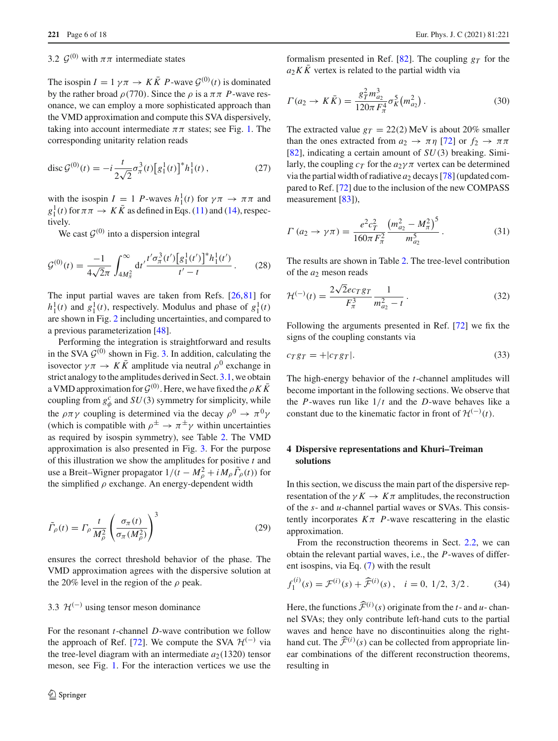### 3.2  $\mathcal{G}^{(0)}$  with  $\pi\pi$  intermediate states

The isospin  $I = 1 \gamma \pi \rightarrow K \overline{K} P$ -wave  $\mathcal{G}^{(0)}(t)$  is dominated by the rather broad  $\rho$ (770). Since the  $\rho$  is a  $\pi \pi$  *P*-wave resonance, we can employ a more sophisticated approach than the VMD approximation and compute this SVA dispersively, taking into account intermediate  $\pi\pi$  states; see Fig. [1.](#page-3-3) The corresponding unitarity relation reads

$$
\operatorname{disc}\mathcal{G}^{(0)}(t) = -i\frac{t}{2\sqrt{2}}\sigma_{\pi}^{3}(t)\left[g_{1}^{1}(t)\right]^{*}h_{1}^{1}(t), \qquad (27)
$$

with the isospin  $I = 1$  *P*-waves  $h_1^1(t)$  for  $\gamma \pi \to \pi \pi$  and  $g_1^1(t)$  for  $\pi \pi \to K \bar{K}$  as defined in Eqs. [\(11\)](#page-2-1) and [\(14\)](#page-2-2), respectively.

We cast  $G^{(0)}$  into a dispersion integral

$$
\mathcal{G}^{(0)}(t) = \frac{-1}{4\sqrt{2}\pi} \int_{4M_{\pi}^2}^{\infty} dt' \frac{t'\sigma_{\pi}^3(t') \left[g_1^1(t')\right]^* h_1^1(t')}{t'-t} \,. \tag{28}
$$

The input partial waves are taken from Refs. [\[26](#page-16-17)[,81](#page-17-17)] for  $h_1^1(t)$  and  $g_1^1(t)$ , respectively. Modulus and phase of  $g_1^1(t)$ are shown in Fig. [2](#page-6-0) including uncertainties, and compared to a previous parameterization [\[48](#page-16-37)].

Performing the integration is straightforward and results in the SVA  $\mathcal{G}^{(0)}$  shown in Fig. [3.](#page-6-1) In addition, calculating the isovector  $\gamma \pi \to K \bar{K}$  amplitude via neutral  $\rho^0$  exchange in strict analogy to the amplitudes derived in Sect. [3.1,](#page-3-5) we obtain a VMD approximation for  $\mathcal{G}^{(0)}$ . Here, we have fixed the  $\rho K \bar{K}$ coupling from  $g^c_\phi$  and *SU*(3) symmetry for simplicity, while the  $\rho \pi \gamma$  coupling is determined via the decay  $\rho^0 \to \pi^0 \gamma$ (which is compatible with  $\rho^{\pm} \rightarrow \pi^{\pm} \gamma$  within uncertainties as required by isospin symmetry), see Table [2.](#page-4-1) The VMD approximation is also presented in Fig. [3.](#page-6-1) For the purpose of this illustration we show the amplitudes for positive *t* and use a Breit–Wigner propagator  $1/(t - M_{\rho}^2 + i M_{\rho} \tilde{\Gamma}_{\rho}(t))$  for the simplified  $\rho$  exchange. An energy-dependent width

$$
\tilde{\Gamma}_{\rho}(t) = \Gamma_{\rho} \frac{t}{M_{\rho}^2} \left( \frac{\sigma_{\pi}(t)}{\sigma_{\pi}(M_{\rho}^2)} \right)^3 \tag{29}
$$

ensures the correct threshold behavior of the phase. The VMD approximation agrees with the dispersive solution at the 20% level in the region of the  $\rho$  peak.

### 3.3  $\mathcal{H}^{(-)}$  using tensor meson dominance

For the resonant *t*-channel *D*-wave contribution we follow the approach of Ref. [\[72\]](#page-17-9). We compute the SVA  $\mathcal{H}^{(-)}$  via the tree-level diagram with an intermediate  $a_2(1320)$  tensor meson, see Fig. [1.](#page-3-3) For the interaction vertices we use the

formalism presented in Ref.  $[82]$  $[82]$ . The coupling  $g<sub>T</sub>$  for the  $a_2 K \overline{K}$  vertex is related to the partial width via

$$
\Gamma(a_2 \to K\bar{K}) = \frac{g_T^2 m_{a_2}^3}{120\pi F_\pi^4} \sigma_K^5(m_{a_2}^2).
$$
 (30)

The extracted value  $g_T = 22(2)$  MeV is about 20% smaller than the ones extracted from  $a_2 \rightarrow \pi \eta$  [\[72](#page-17-9)] or  $f_2 \rightarrow \pi \pi$ [\[82](#page-17-18)], indicating a certain amount of *SU*(3) breaking. Similarly, the coupling  $c_T$  for the  $a_2\gamma\pi$  vertex can be determined via the partial width of radiative  $a_2$  decays [\[78\]](#page-17-12) (updated compared to Ref. [\[72](#page-17-9)] due to the inclusion of the new COMPASS measurement [\[83](#page-17-19)]),

$$
\Gamma\left(a_{2} \to \gamma \pi\right) = \frac{e^{2}c_{T}^{2}}{160\pi F_{\pi}^{2}} \frac{\left(m_{a_{2}}^{2} - M_{\pi}^{2}\right)^{5}}{m_{a_{2}}^{5}}.
$$
\n(31)

<span id="page-5-2"></span>The results are shown in Table [2.](#page-4-1) The tree-level contribution of the *a*<sub>2</sub> meson reads

$$
\mathcal{H}^{(-)}(t) = \frac{2\sqrt{2}ec_Tg_T}{F_{\pi}^3} \frac{1}{m_{a_2}^2 - t} \,. \tag{32}
$$

Following the arguments presented in Ref. [\[72\]](#page-17-9) we fix the signs of the coupling constants via

$$
c_T g_T = +|c_T g_T|.\tag{33}
$$

The high-energy behavior of the *t*-channel amplitudes will become important in the following sections. We observe that the *P*-waves run like 1/*t* and the *D*-wave behaves like a constant due to the kinematic factor in front of  $\mathcal{H}^{(-)}(t)$ .

### <span id="page-5-0"></span>**4 Dispersive representations and Khuri–Treiman solutions**

In this section, we discuss the main part of the dispersive representation of the  $\gamma K \to K \pi$  amplitudes, the reconstruction of the *s*- and *u*-channel partial waves or SVAs. This consistently incorporates  $K\pi$  *P*-wave rescattering in the elastic approximation.

<span id="page-5-1"></span>From the reconstruction theorems in Sect. [2.2,](#page-2-3) we can obtain the relevant partial waves, i.e., the *P*-waves of different isospins, via Eq. [\(7\)](#page-1-3) with the result

$$
f_1^{(i)}(s) = \mathcal{F}^{(i)}(s) + \widehat{\mathcal{F}}^{(i)}(s), \quad i = 0, 1/2, 3/2. \tag{34}
$$

Here, the functions  $\hat{\mathcal{F}}^{(i)}(s)$  originate from the *t*- and *u*-channel SVAs; they only contribute left-hand cuts to the partial waves and hence have no discontinuities along the righthand cut. The  $\hat{\mathcal{F}}^{(i)}(s)$  can be collected from appropriate linear combinations of the different reconstruction theorems, resulting in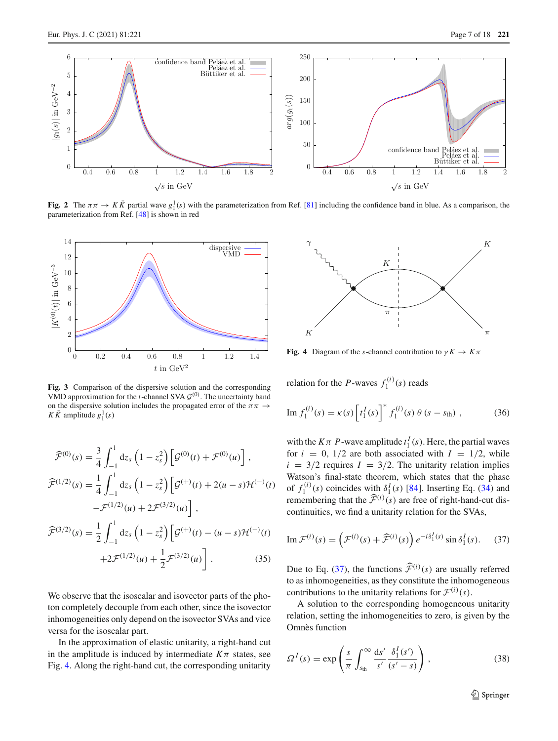

<span id="page-6-0"></span>**Fig. 2** The  $\pi \pi \to K \bar{K}$  partial wave  $g_1^1(s)$  with the parameterization from Ref. [\[81\]](#page-17-17) including the confidence band in blue. As a comparison, the parameterization from Ref. [\[48](#page-16-37)] is shown in red



<span id="page-6-1"></span>**Fig. 3** Comparison of the dispersive solution and the corresponding VMD approximation for the *t*-channel SVA  $G^{(0)}$ . The uncertainty band on the dispersive solution includes the propagated error of the  $\pi \pi \rightarrow$  $K \overline{K}$  amplitude  $g_1^1(s)$ 

$$
\widehat{\mathcal{F}}^{(0)}(s) = \frac{3}{4} \int_{-1}^{1} dz_s \left(1 - z_s^2\right) \left[\mathcal{G}^{(0)}(t) + \mathcal{F}^{(0)}(u)\right],
$$
  

$$
\widehat{\mathcal{F}}^{(1/2)}(s) = \frac{1}{4} \int_{-1}^{1} dz_s \left(1 - z_s^2\right) \left[\mathcal{G}^{(+)}(t) + 2(u - s)\mathcal{H}^{(-)}(t)\right.
$$

$$
-\mathcal{F}^{(1/2)}(u) + 2\mathcal{F}^{(3/2)}(u)\right],
$$

$$
\widehat{\mathcal{F}}^{(3/2)}(s) = \frac{1}{2} \int_{-1}^{1} dz_s \left(1 - z_s^2\right) \left[\mathcal{G}^{(+)}(t) - (u - s)\mathcal{H}^{(-)}(t)\right.
$$

$$
+ 2\mathcal{F}^{(1/2)}(u) + \frac{1}{2}\mathcal{F}^{(3/2)}(u)\right].
$$
(35)

We observe that the isoscalar and isovector parts of the photon completely decouple from each other, since the isovector inhomogeneities only depend on the isovector SVAs and vice versa for the isoscalar part.

In the approximation of elastic unitarity, a right-hand cut in the amplitude is induced by intermediate  $K\pi$  states, see Fig. [4.](#page-6-2) Along the right-hand cut, the corresponding unitarity



<span id="page-6-2"></span>**Fig. 4** Diagram of the *s*-channel contribution to  $\gamma K \to K \pi$ 

<span id="page-6-5"></span>relation for the *P*-waves  $f_1^{(i)}(s)$  reads

Im 
$$
f_1^{(i)}(s) = \kappa(s) \left[ t_1^I(s) \right]^* f_1^{(i)}(s) \theta (s - s_{\text{th}}),
$$
 (36)

with the  $K\pi$  *P*-wave amplitude  $t_1^I(s)$ . Here, the partial waves for  $i = 0$ ,  $1/2$  are both associated with  $I = 1/2$ , while  $i = 3/2$  requires  $I = 3/2$ . The unitarity relation implies Watson's final-state theorem, which states that the phase of  $f_1^{(i)}(s)$  coincides with  $\delta_1^I(s)$  [\[84\]](#page-17-20). Inserting Eq. [\(34\)](#page-5-1) and remembering that the  $\hat{\mathcal{F}}^{(i)}(s)$  are free of right-hand-cut discontinuities, we find a unitarity relation for the SVAs,

<span id="page-6-4"></span><span id="page-6-3"></span>Im 
$$
\mathcal{F}^{(i)}(s) = (\mathcal{F}^{(i)}(s) + \widehat{\mathcal{F}}^{(i)}(s)) e^{-i\delta_1^I(s)} \sin \delta_1^I(s)
$$
. (37)

Due to Eq. [\(37\)](#page-6-3), the functions  $\hat{\mathcal{F}}^{(i)}(s)$  are usually referred to as inhomogeneities, as they constitute the inhomogeneous contributions to the unitarity relations for  $\mathcal{F}^{(i)}(s)$ .

A solution to the corresponding homogeneous unitarity relation, setting the inhomogeneities to zero, is given by the Omnès function

$$
\Omega^{I}(s) = \exp\left(\frac{s}{\pi} \int_{s_{\text{th}}}^{\infty} \frac{\mathrm{d}s'}{s'} \frac{\delta_{1}^{I}(s')}{(s'-s)}\right),\tag{38}
$$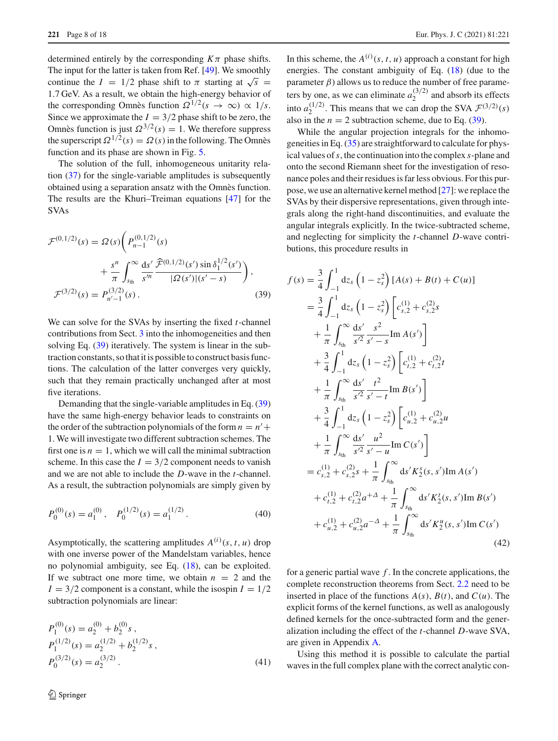determined entirely by the corresponding  $K\pi$  phase shifts. The input for the latter is taken from Ref. [\[49\]](#page-16-40). We smoothly continue the *I* = 1/2 phase shift to  $\pi$  starting at  $\sqrt{s}$  = 1.7 GeV. As a result, we obtain the high-energy behavior of the corresponding Omnès function  $\Omega^{1/2}(s \to \infty) \propto 1/s$ . Since we approximate the  $I = 3/2$  phase shift to be zero, the Omnès function is just  $\Omega^{3/2}(s) = 1$ . We therefore suppress the superscript  $\Omega^{1/2}(s) = \Omega(s)$  in the following. The Omnès function and its phase are shown in Fig. [5.](#page-8-1)

The solution of the full, inhomogeneous unitarity relation [\(37\)](#page-6-3) for the single-variable amplitudes is subsequently obtained using a separation ansatz with the Omnès function. The results are the Khuri–Treiman equations [\[47](#page-16-36)] for the SVAs

$$
\mathcal{F}^{(0,1/2)}(s) = \Omega(s) \left( P_{n-1}^{(0,1/2)}(s) + \frac{s^n}{\pi} \int_{s_{\text{th}}}^{\infty} \frac{ds'}{s'^n} \frac{\widehat{\mathcal{F}}^{(0,1/2)}(s') \sin \delta_1^{1/2}(s')}{|\Omega(s')|(s'-s)} \right),
$$
  

$$
\mathcal{F}^{(3/2)}(s) = P_{n'-1}^{(3/2)}(s) .
$$
 (39)

We can solve for the SVAs by inserting the fixed *t*-channel contributions from Sect. [3](#page-3-0) into the inhomogeneities and then solving Eq. [\(39\)](#page-7-0) iteratively. The system is linear in the subtraction constants, so that it is possible to construct basis functions. The calculation of the latter converges very quickly, such that they remain practically unchanged after at most five iterations.

Demanding that the single-variable amplitudes in Eq. [\(39\)](#page-7-0) have the same high-energy behavior leads to constraints on the order of the subtraction polynomials of the form  $n = n'$  + 1. We will investigate two different subtraction schemes. The first one is  $n = 1$ , which we will call the minimal subtraction scheme. In this case the  $I = 3/2$  component needs to vanish and we are not able to include the *D*-wave in the *t*-channel. As a result, the subtraction polynomials are simply given by

$$
P_0^{(0)}(s) = a_1^{(0)}, \quad P_0^{(1/2)}(s) = a_1^{(1/2)}.
$$
 (40)

Asymptotically, the scattering amplitudes  $A^{(i)}(s, t, u)$  drop with one inverse power of the Mandelstam variables, hence no polynomial ambiguity, see Eq. [\(18\)](#page-3-2), can be exploited. If we subtract one more time, we obtain  $n = 2$  and the  $I = 3/2$  component is a constant, while the isospin  $I = 1/2$ subtraction polynomials are linear:

$$
P_1^{(0)}(s) = a_2^{(0)} + b_2^{(0)}s,
$$
  
\n
$$
P_1^{(1/2)}(s) = a_2^{(1/2)} + b_2^{(1/2)}s,
$$
  
\n
$$
P_0^{(3/2)}(s) = a_2^{(3/2)}.
$$
\n(41)

In this scheme, the  $A^{(i)}(s, t, u)$  approach a constant for high energies. The constant ambiguity of Eq. [\(18\)](#page-3-2) (due to the parameter  $\beta$ ) allows us to reduce the number of free parameters by one, as we can eliminate  $a_2^{(3/2)}$  and absorb its effects into  $a_2^{(1/2)}$ . This means that we can drop the SVA  $\mathcal{F}^{(3/2)}(s)$ also in the  $n = 2$  subtraction scheme, due to Eq. [\(39\)](#page-7-0).

While the angular projection integrals for the inhomogeneities in Eq. [\(35\)](#page-6-4) are straightforward to calculate for physical values of*s*, the continuation into the complex *s*-plane and onto the second Riemann sheet for the investigation of resonance poles and their residues is far less obvious. For this purpose, we use an alternative kernel method [\[27](#page-16-18)]: we replace the SVAs by their dispersive representations, given through integrals along the right-hand discontinuities, and evaluate the angular integrals explicitly. In the twice-subtracted scheme, and neglecting for simplicity the *t*-channel *D*-wave contributions, this procedure results in

<span id="page-7-0"></span>
$$
f(s) = \frac{3}{4} \int_{-1}^{1} dz_{s} (1 - z_{s}^{2}) [A(s) + B(t) + C(u)]
$$
  
\n
$$
= \frac{3}{4} \int_{-1}^{1} dz_{s} (1 - z_{s}^{2}) [c_{s,2}^{(1)} + c_{s,2}^{(2)}s + \frac{1}{\pi} \int_{s_{th}}^{\infty} \frac{ds'}{s'^{2}} \frac{s^{2}}{s' - s} Im A(s')]
$$
  
\n
$$
+ \frac{3}{4} \int_{-1}^{1} dz_{s} (1 - z_{s}^{2}) [c_{t,2}^{(1)} + c_{t,2}^{(2)}t + \frac{1}{\pi} \int_{s_{th}}^{\infty} \frac{ds'}{s'^{2}} \frac{t^{2}}{s' - t} Im B(s')]
$$
  
\n
$$
+ \frac{3}{4} \int_{-1}^{1} dz_{s} (1 - z_{s}^{2}) [c_{u,2}^{(1)} + c_{u,2}^{(2)}u + \frac{1}{\pi} \int_{s_{th}}^{\infty} \frac{ds'}{s'^{2}} \frac{u^{2}}{s' - u} Im C(s')]
$$
  
\n
$$
= c_{s,2}^{(1)} + c_{s,2}^{(2)}s + \frac{1}{\pi} \int_{s_{th}}^{\infty} ds' K_{2}^{s}(s, s') Im A(s')
$$
  
\n
$$
+ c_{t,2}^{(1)} + c_{t,2}^{(2)}a^{2} + 4 + \frac{1}{\pi} \int_{s_{th}}^{\infty} ds' K_{2}^{t}(s, s') Im B(s')
$$
  
\n
$$
+ c_{u,2}^{(1)} + c_{u,2}^{(2)}a^{-2} + \frac{1}{\pi} \int_{s_{th}}^{\infty} ds' K_{2}^{u}(s, s') Im C(s')
$$
  
\n(42)

<span id="page-7-1"></span>for a generic partial wave *f* . In the concrete applications, the complete reconstruction theorems from Sect. [2.2](#page-2-3) need to be inserted in place of the functions  $A(s)$ ,  $B(t)$ , and  $C(u)$ . The explicit forms of the kernel functions, as well as analogously defined kernels for the once-subtracted form and the generalization including the effect of the *t*-channel *D*-wave SVA, are given in Appendix [A.](#page-15-4)

Using this method it is possible to calculate the partial waves in the full complex plane with the correct analytic con-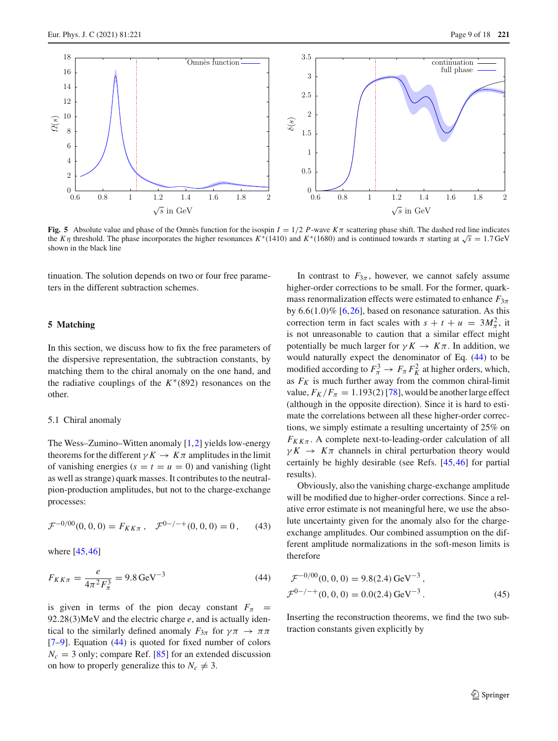

<span id="page-8-1"></span>**Fig. 5** Absolute value and phase of the Omnès function for the isospin  $I = 1/2$  *P*-wave  $K\pi$  scattering phase shift. The dashed red line indicates the *K* $\eta$  threshold. The phase incorporates the higher resonances *K*<sup>∗</sup>(1410) and *K*<sup>∗</sup>(1680) and is continued towards  $\pi$  starting at  $\sqrt{s} = 1.7$  GeV shown in the black line

tinuation. The solution depends on two or four free parameters in the different subtraction schemes.

### <span id="page-8-0"></span>**5 Matching**

In this section, we discuss how to fix the free parameters of the dispersive representation, the subtraction constants, by matching them to the chiral anomaly on the one hand, and the radiative couplings of the *K*∗(892) resonances on the other.

### 5.1 Chiral anomaly

The Wess–Zumino–Witten anomaly [\[1,](#page-15-0)[2\]](#page-15-1) yields low-energy theorems for the different  $\gamma K \to K \pi$  amplitudes in the limit of vanishing energies ( $s = t = u = 0$ ) and vanishing (light as well as strange) quark masses. It contributes to the neutralpion-production amplitudes, but not to the charge-exchange processes:

<span id="page-8-2"></span>
$$
\mathcal{F}^{-0/00}(0,0,0) = F_{KK\pi} , \quad \mathcal{F}^{0-/-+}(0,0,0) = 0 , \qquad (43)
$$

where [\[45](#page-16-34)[,46](#page-16-35)]

$$
F_{KK\pi} = \frac{e}{4\pi^2 F_\pi^3} = 9.8 \,\text{GeV}^{-3} \tag{44}
$$

is given in terms of the pion decay constant  $F_{\pi}$  = 92.28(3)MeV and the electric charge *e*, and is actually identical to the similarly defined anomaly  $F_{3\pi}$  for  $\gamma \pi \rightarrow \pi \pi$ [\[7](#page-16-1)[–9](#page-16-2)]. Equation [\(44\)](#page-8-2) is quoted for fixed number of colors  $N_c = 3$  only; compare Ref. [\[85\]](#page-17-21) for an extended discussion on how to properly generalize this to  $N_c \neq 3$ .

In contrast to  $F_{3\pi}$ , however, we cannot safely assume higher-order corrections to be small. For the former, quarkmass renormalization effects were estimated to enhance  $F_{3\pi}$ by  $6.6(1.0)\%$  [\[6,](#page-16-0)[26\]](#page-16-17), based on resonance saturation. As this correction term in fact scales with  $s + t + u = 3M_{\pi}^2$ , it is not unreasonable to caution that a similar effect might potentially be much larger for  $\gamma K \to K \pi$ . In addition, we would naturally expect the denominator of Eq. [\(44\)](#page-8-2) to be modified according to  $F_{\pi}^3 \to F_{\pi} F_K^2$  at higher orders, which, as  $F_K$  is much further away from the common chiral-limit value,  $F_K/F_\pi = 1.193(2)$  [\[78\]](#page-17-12), would be another large effect (although in the opposite direction). Since it is hard to estimate the correlations between all these higher-order corrections, we simply estimate a resulting uncertainty of 25% on  $F_{KK\pi}$ . A complete next-to-leading-order calculation of all  $\gamma K \rightarrow K \pi$  channels in chiral perturbation theory would certainly be highly desirable (see Refs. [\[45](#page-16-34),[46\]](#page-16-35) for partial results).

Obviously, also the vanishing charge-exchange amplitude will be modified due to higher-order corrections. Since a relative error estimate is not meaningful here, we use the absolute uncertainty given for the anomaly also for the chargeexchange amplitudes. Our combined assumption on the different amplitude normalizations in the soft-meson limits is therefore

<span id="page-8-3"></span>
$$
\mathcal{F}^{-0/00}(0, 0, 0) = 9.8(2.4) \,\text{GeV}^{-3},
$$
  

$$
\mathcal{F}^{0-/-+}(0, 0, 0) = 0.0(2.4) \,\text{GeV}^{-3}.
$$
 (45)

Inserting the reconstruction theorems, we find the two subtraction constants given explicitly by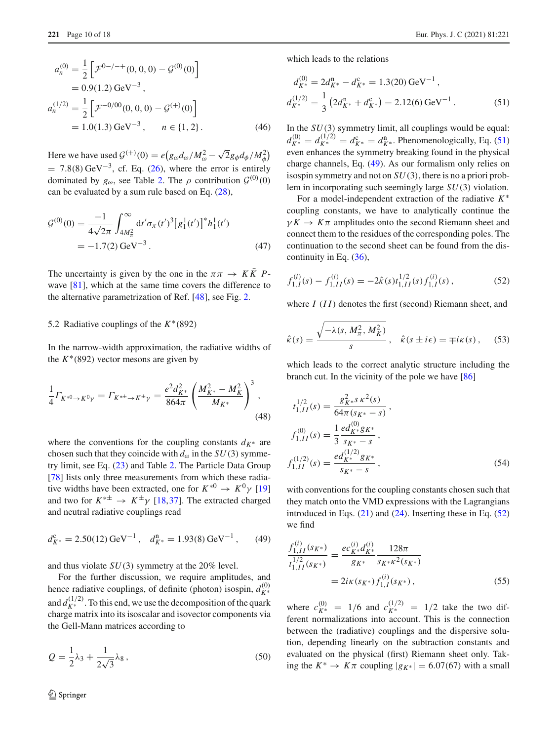$$
a_n^{(0)} = \frac{1}{2} \left[ \mathcal{F}^{0-/-+}(0, 0, 0) - \mathcal{G}^{(0)}(0) \right]
$$
  
= 0.9(1.2) GeV<sup>-3</sup>,  

$$
a_n^{(1/2)} = \frac{1}{2} \left[ \mathcal{F}^{-0/00}(0, 0, 0) - \mathcal{G}^{(+)}(0) \right]
$$
  
= 1.0(1.3) GeV<sup>-3</sup>,  $n \in \{1, 2\}$ . (46)

Here we have used  $\mathcal{G}^{(+)}(0) = e(g_{\omega}d_{\omega}/M_{\omega}^2 - \sqrt{2}g_{\phi}d_{\phi}/M_{\phi}^2)$  $= 7.8(8) \text{ GeV}^{-3}$ , cf. Eq. [\(26\)](#page-4-2), where the error is entirely dominated by  $g_{\omega}$ , see Table [2.](#page-4-1) The  $\rho$  contribution  $\mathcal{G}^{(0)}(0)$ can be evaluated by a sum rule based on Eq. [\(28\)](#page-5-2),

$$
\mathcal{G}^{(0)}(0) = \frac{-1}{4\sqrt{2}\pi} \int_{4M_{\pi}^2}^{\infty} dt' \sigma_{\pi} (t')^3 [g_1^1(t')]^* h_1^1(t')
$$
  
= -1.7(2) GeV<sup>-3</sup>. (47)

The uncertainty is given by the one in the  $\pi \pi \rightarrow K \overline{K} P$ wave  $[81]$ , which at the same time covers the difference to the alternative parametrization of Ref. [\[48](#page-16-37)], see Fig. [2.](#page-6-0)

### 5.2 Radiative couplings of the *K*∗(892)

In the narrow-width approximation, the radiative widths of the  $K^*(892)$  vector mesons are given by

$$
\frac{1}{4}\Gamma_{K^{*0}\to K^0 \gamma} = \Gamma_{K^{*+}\to K^{\pm} \gamma} = \frac{e^2 d_{K^*}^2}{864\pi} \left(\frac{M_{K^*}^2 - M_K^2}{M_{K^*}}\right)^3,
$$
\n(48)

where the conventions for the coupling constants  $d_{K^*}$  are chosen such that they coincide with  $d_{\omega}$  in the *SU*(3) symmetry limit, see Eq. [\(23\)](#page-4-3) and Table [2.](#page-4-1) The Particle Data Group [\[78](#page-17-12)] lists only three measurements from which these radiative widths have been extracted, one for  $K^{*0} \rightarrow K^0 \gamma$  [\[19\]](#page-16-10) and two for  $K^{*\pm} \rightarrow K^{\pm} \gamma$  [\[18](#page-16-11),[37\]](#page-16-26). The extracted charged and neutral radiative couplings read

$$
d_{K^*}^c = 2.50(12) \,\text{GeV}^{-1} \,, \quad d_{K^*}^n = 1.93(8) \,\text{GeV}^{-1} \,, \tag{49}
$$

and thus violate *SU*(3) symmetry at the 20% level.

For the further discussion, we require amplitudes, and hence radiative couplings, of definite (photon) isospin,  $d_{K^*}^{(0)}$ and  $d_{K^*}^{(1/2)}$ . To this end, we use the decomposition of the quark charge matrix into its isoscalar and isovector components via the Gell-Mann matrices according to

$$
Q = \frac{1}{2}\lambda_3 + \frac{1}{2\sqrt{3}}\lambda_8, \qquad (50)
$$

which leads to the relations

<span id="page-9-0"></span>
$$
d_{K^*}^{(0)} = 2d_{K^*}^n - d_{K^*}^c = 1.3(20) \,\text{GeV}^{-1} \,,
$$
  
\n
$$
d_{K^*}^{(1/2)} = \frac{1}{3} \left( 2d_{K^*}^n + d_{K^*}^c \right) = 2.12(6) \,\text{GeV}^{-1} \,. \tag{51}
$$

<span id="page-9-3"></span>In the *SU*(3) symmetry limit, all couplings would be equal:  $d_{K^*}^{(0)} = d_{K^*}^{(1/2)} = d_{K^*}^c = d_{K^*}^n$ . Phenomenologically, Eq. [\(51\)](#page-9-0) even enhances the symmetry breaking found in the physical charge channels, Eq. [\(49\)](#page-9-1). As our formalism only relies on isospin symmetry and not on *SU*(3), there is no a priori problem in incorporating such seemingly large *SU*(3) violation.

For a model-independent extraction of the radiative *K*∗ coupling constants, we have to analytically continue the  $\gamma K \to K \pi$  amplitudes onto the second Riemann sheet and connect them to the residues of the corresponding poles. The continuation to the second sheet can be found from the discontinuity in Eq. [\(36\)](#page-6-5),

<span id="page-9-2"></span>
$$
f_{1,I}^{(i)}(s) - f_{1,II}^{(i)}(s) = -2\hat{\kappa}(s)t_{1,II}^{1/2}(s)f_{1,I}^{(i)}(s) ,
$$
 (52)

where *I* (*I I*) denotes the first (second) Riemann sheet, and

$$
\hat{\kappa}(s) = \frac{\sqrt{-\lambda(s, M_\pi^2, M_K^2)}}{s}, \quad \hat{\kappa}(s \pm i\epsilon) = \mp i\kappa(s), \quad (53)
$$

which leads to the correct analytic structure including the branch cut. In the vicinity of the pole we have [\[86\]](#page-17-22)

$$
t_{1,II}^{1/2}(s) = \frac{g_{K^*}^2 s \kappa^2(s)}{64\pi (s_{K^*} - s)},
$$
  
\n
$$
f_{1,II}^{(0)}(s) = \frac{1}{3} \frac{ed_{K^*}^{(0)} g_{K^*}}{s_{K^*} - s},
$$
  
\n
$$
f_{1,II}^{(1/2)}(s) = \frac{ed_{K^*}^{(1/2)} g_{K^*}}{s_{K^*} - s},
$$
\n(54)

<span id="page-9-1"></span>with conventions for the coupling constants chosen such that they match onto the VMD expressions with the Lagrangians introduced in Eqs.  $(21)$  and  $(24)$ . Inserting these in Eq.  $(52)$ we find

<span id="page-9-4"></span>
$$
\frac{f_{1,II}^{(i)}(s_{K^*})}{t_{1,II}^{1/2}(s_{K^*})} = \frac{ec_{K^*}^{(i)}d_{K^*}^{(i)}}{g_{K^*}} \frac{128\pi}{s_{K^*}\kappa^2(s_{K^*})}
$$
\n
$$
= 2i\kappa(s_{K^*})f_{1,I}^{(i)}(s_{K^*}),
$$
\n(55)

where  $c_{K^*}^{(0)} = 1/6$  and  $c_{K^*}^{(1/2)} = 1/2$  take the two different normalizations into account. This is the connection between the (radiative) couplings and the dispersive solution, depending linearly on the subtraction constants and evaluated on the physical (first) Riemann sheet only. Taking the  $K^* \to K\pi$  coupling  $|g_{K^*}| = 6.07(67)$  with a small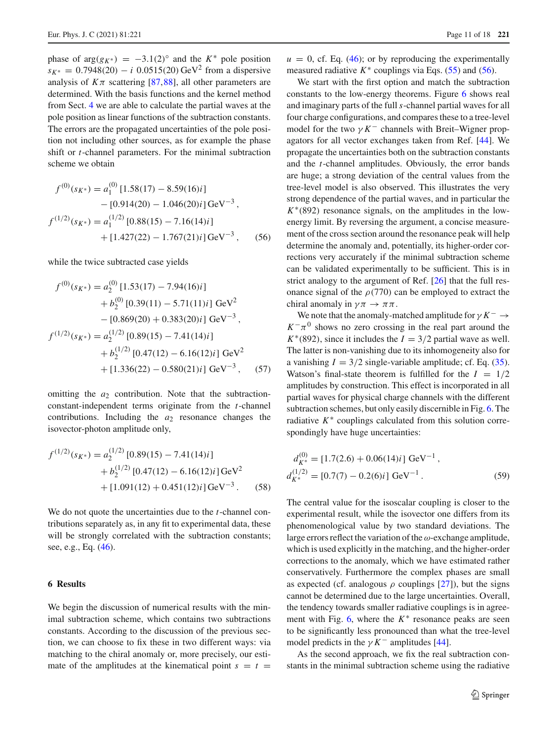phase of  $arg(g_{K^*}) = -3.1(2)^\circ$  and the  $K^*$  pole position  $s_{K^*} = 0.7948(20) - i \ 0.0515(20)$  GeV<sup>2</sup> from a dispersive analysis of  $K\pi$  scattering [\[87](#page-17-23),[88\]](#page-17-24), all other parameters are determined. With the basis functions and the kernel method from Sect. [4](#page-5-0) we are able to calculate the partial waves at the pole position as linear functions of the subtraction constants. The errors are the propagated uncertainties of the pole position not including other sources, as for example the phase shift or *t*-channel parameters. For the minimal subtraction scheme we obtain

$$
f^{(0)}(s_{K^*}) = a_1^{(0)} [1.58(17) - 8.59(16)i] - [0.914(20) - 1.046(20)i] \text{GeV}^{-3} ,f^{(1/2)}(s_{K^*}) = a_1^{(1/2)} [0.88(15) - 7.16(14)i] + [1.427(22) - 1.767(21)i] \text{GeV}^{-3} ,
$$
(56)

while the twice subtracted case yields

$$
f^{(0)}(s_{K^*}) = a_2^{(0)} [1.53(17) - 7.94(16)i] + b_2^{(0)} [0.39(11) - 5.71(11)i] GeV2 - [0.869(20) + 0.383(20)i] GeV-3, f(1/2)(s_{K^*}) = a_2^{(1/2)} [0.89(15) - 7.41(14)i] + b_2^{(1/2)} [0.47(12) - 6.16(12)i] GeV2 + [1.336(22) - 0.580(21)i] GeV-3, (57)
$$

omitting the  $a_2$  contribution. Note that the subtractionconstant-independent terms originate from the *t*-channel contributions. Including the *a*<sup>2</sup> resonance changes the isovector-photon amplitude only,

$$
f^{(1/2)}(s_{K^*}) = a_2^{(1/2)} [0.89(15) - 7.41(14)i] + b_2^{(1/2)} [0.47(12) - 6.16(12)i] \text{GeV}^2 + [1.091(12) + 0.451(12)i] \text{GeV}^{-3}.
$$
 (58)

We do not quote the uncertainties due to the *t*-channel contributions separately as, in any fit to experimental data, these will be strongly correlated with the subtraction constants; see, e.g., Eq. [\(46\)](#page-9-3).

### <span id="page-10-0"></span>**6 Results**

We begin the discussion of numerical results with the minimal subtraction scheme, which contains two subtractions constants. According to the discussion of the previous section, we can choose to fix these in two different ways: via matching to the chiral anomaly or, more precisely, our estimate of the amplitudes at the kinematical point  $s = t$   $u = 0$ , cf. Eq. [\(46\)](#page-9-3); or by reproducing the experimentally measured radiative  $K^*$  couplings via Eqs. [\(55\)](#page-9-4) and [\(56\)](#page-10-1).

We start with the first option and match the subtraction constants to the low-energy theorems. Figure [6](#page-11-0) shows real and imaginary parts of the full *s*-channel partial waves for all four charge configurations, and compares these to a tree-level model for the two  $\gamma K^-$  channels with Breit–Wigner propagators for all vector exchanges taken from Ref. [\[44\]](#page-16-33). We propagate the uncertainties both on the subtraction constants and the *t*-channel amplitudes. Obviously, the error bands are huge; a strong deviation of the central values from the tree-level model is also observed. This illustrates the very strong dependence of the partial waves, and in particular the *K*∗(892) resonance signals, on the amplitudes in the lowenergy limit. By reversing the argument, a concise measurement of the cross section around the resonance peak will help determine the anomaly and, potentially, its higher-order corrections very accurately if the minimal subtraction scheme can be validated experimentally to be sufficient. This is in strict analogy to the argument of Ref. [\[26\]](#page-16-17) that the full resonance signal of the  $\rho$ (770) can be employed to extract the chiral anomaly in  $\gamma \pi \to \pi \pi$ .

<span id="page-10-1"></span>We note that the anomaly-matched amplitude for  $\gamma K^- \rightarrow$  $K^-\pi^0$  shows no zero crossing in the real part around the  $K^*(892)$ , since it includes the  $I = 3/2$  partial wave as well. The latter is non-vanishing due to its inhomogeneity also for a vanishing  $I = 3/2$  single-variable amplitude; cf. Eq. [\(35\)](#page-6-4). Watson's final-state theorem is fulfilled for the  $I = 1/2$ amplitudes by construction. This effect is incorporated in all partial waves for physical charge channels with the different subtraction schemes, but only easily discernible in Fig. [6.](#page-11-0) The radiative  $K^*$  couplings calculated from this solution correspondingly have huge uncertainties:

$$
d_{K^*}^{(0)} = [1.7(2.6) + 0.06(14)i] \text{ GeV}^{-1},
$$
  
\n
$$
d_{K^*}^{(1/2)} = [0.7(7) - 0.2(6)i] \text{ GeV}^{-1}.
$$
\n(59)

The central value for the isoscalar coupling is closer to the experimental result, while the isovector one differs from its phenomenological value by two standard deviations. The large errors reflect the variation of the  $\omega$ -exchange amplitude, which is used explicitly in the matching, and the higher-order corrections to the anomaly, which we have estimated rather conservatively. Furthermore the complex phases are small as expected (cf. analogous  $\rho$  couplings [\[27\]](#page-16-18)), but the signs cannot be determined due to the large uncertainties. Overall, the tendency towards smaller radiative couplings is in agreement with Fig.  $6$ , where the  $K^*$  resonance peaks are seen to be significantly less pronounced than what the tree-level model predicts in the  $\gamma K^-$  amplitudes [\[44](#page-16-33)].

As the second approach, we fix the real subtraction constants in the minimal subtraction scheme using the radiative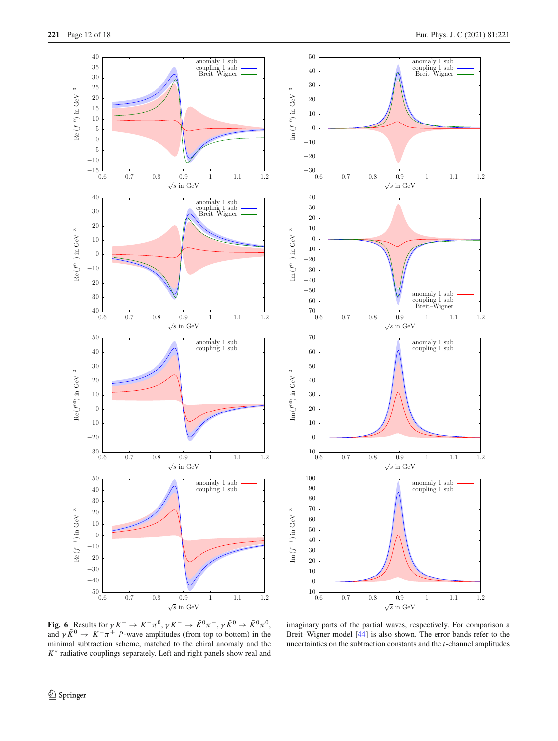



<span id="page-11-0"></span>**Fig. 6** Results for  $\gamma K^- \to K^- \pi^0$ ,  $\gamma K^- \to \bar{K}^0 \pi^-$ ,  $\gamma \bar{K}^0 \to \bar{K}^0 \pi^0$ , and  $\gamma \bar{K}^0 \rightarrow K^- \pi^+ P$ -wave amplitudes (from top to bottom) in the minimal subtraction scheme, matched to the chiral anomaly and the *K*∗ radiative couplings separately. Left and right panels show real and

imaginary parts of the partial waves, respectively. For comparison a Breit–Wigner model [\[44](#page-16-33)] is also shown. The error bands refer to the uncertainties on the subtraction constants and the *t*-channel amplitudes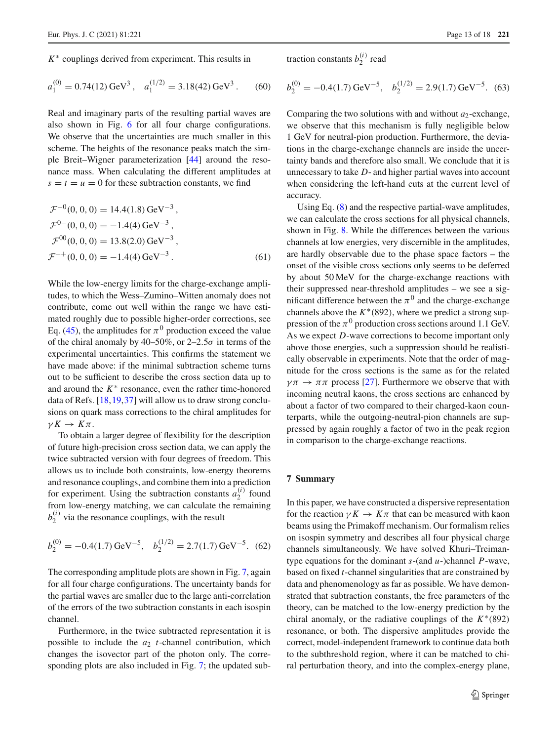*K*∗ couplings derived from experiment. This results in

$$
a_1^{(0)} = 0.74(12) \,\text{GeV}^3 \,, \quad a_1^{(1/2)} = 3.18(42) \,\text{GeV}^3 \,. \tag{60}
$$

Real and imaginary parts of the resulting partial waves are also shown in Fig. [6](#page-11-0) for all four charge configurations. We observe that the uncertainties are much smaller in this scheme. The heights of the resonance peaks match the simple Breit–Wigner parameterization [\[44\]](#page-16-33) around the resonance mass. When calculating the different amplitudes at  $s = t = u = 0$  for these subtraction constants, we find

$$
\mathcal{F}^{-0}(0, 0, 0) = 14.4(1.8) \,\text{GeV}^{-3},
$$
  
\n
$$
\mathcal{F}^{0-}(0, 0, 0) = -1.4(4) \,\text{GeV}^{-3},
$$
  
\n
$$
\mathcal{F}^{00}(0, 0, 0) = 13.8(2.0) \,\text{GeV}^{-3},
$$
  
\n
$$
\mathcal{F}^{-+}(0, 0, 0) = -1.4(4) \,\text{GeV}^{-3}.
$$
 (61)

While the low-energy limits for the charge-exchange amplitudes, to which the Wess–Zumino–Witten anomaly does not contribute, come out well within the range we have estimated roughly due to possible higher-order corrections, see Eq. [\(45\)](#page-8-3), the amplitudes for  $\pi^0$  production exceed the value of the chiral anomaly by 40–50%, or  $2-2.5\sigma$  in terms of the experimental uncertainties. This confirms the statement we have made above: if the minimal subtraction scheme turns out to be sufficient to describe the cross section data up to and around the  $K^*$  resonance, even the rather time-honored data of Refs. [\[18](#page-16-11)[,19](#page-16-10),[37\]](#page-16-26) will allow us to draw strong conclusions on quark mass corrections to the chiral amplitudes for  $\gamma K \to K \pi$ .

To obtain a larger degree of flexibility for the description of future high-precision cross section data, we can apply the twice subtracted version with four degrees of freedom. This allows us to include both constraints, low-energy theorems and resonance couplings, and combine them into a prediction for experiment. Using the subtraction constants  $a_2^{(i)}$  found from low-energy matching, we can calculate the remaining  $b_2^{(i)}$  via the resonance couplings, with the result

$$
b_2^{(0)} = -0.4(1.7) \,\text{GeV}^{-5}, \quad b_2^{(1/2)} = 2.7(1.7) \,\text{GeV}^{-5}.
$$
 (62)

The corresponding amplitude plots are shown in Fig. [7,](#page-13-0) again for all four charge configurations. The uncertainty bands for the partial waves are smaller due to the large anti-correlation of the errors of the two subtraction constants in each isospin channel.

Furthermore, in the twice subtracted representation it is possible to include the  $a_2$  *t*-channel contribution, which changes the isovector part of the photon only. The corresponding plots are also included in Fig. [7;](#page-13-0) the updated subtraction constants  $b_2^{(i)}$  read

$$
b_2^{(0)} = -0.4(1.7) \,\text{GeV}^{-5}, \quad b_2^{(1/2)} = 2.9(1.7) \,\text{GeV}^{-5}.
$$
 (63)

Comparing the two solutions with and without  $a_2$ -exchange, we observe that this mechanism is fully negligible below 1 GeV for neutral-pion production. Furthermore, the deviations in the charge-exchange channels are inside the uncertainty bands and therefore also small. We conclude that it is unnecessary to take *D*- and higher partial waves into account when considering the left-hand cuts at the current level of accuracy.

Using Eq. [\(8\)](#page-2-4) and the respective partial-wave amplitudes, we can calculate the cross sections for all physical channels, shown in Fig. [8.](#page-14-0) While the differences between the various channels at low energies, very discernible in the amplitudes, are hardly observable due to the phase space factors – the onset of the visible cross sections only seems to be deferred by about 50 MeV for the charge-exchange reactions with their suppressed near-threshold amplitudes – we see a significant difference between the  $\pi^0$  and the charge-exchange channels above the  $K^*(892)$ , where we predict a strong suppression of the  $\pi^0$  production cross sections around 1.1 GeV. As we expect *D*-wave corrections to become important only above those energies, such a suppression should be realistically observable in experiments. Note that the order of magnitude for the cross sections is the same as for the related  $\gamma \pi \to \pi \pi$  process [\[27\]](#page-16-18). Furthermore we observe that with incoming neutral kaons, the cross sections are enhanced by about a factor of two compared to their charged-kaon counterparts, while the outgoing-neutral-pion channels are suppressed by again roughly a factor of two in the peak region in comparison to the charge-exchange reactions.

### <span id="page-12-0"></span>**7 Summary**

In this paper, we have constructed a dispersive representation for the reaction  $\gamma K \to K \pi$  that can be measured with kaon beams using the Primakoff mechanism. Our formalism relies on isospin symmetry and describes all four physical charge channels simultaneously. We have solved Khuri–Treimantype equations for the dominant *s*-(and *u*-)channel *P*-wave, based on fixed *t*-channel singularities that are constrained by data and phenomenology as far as possible. We have demonstrated that subtraction constants, the free parameters of the theory, can be matched to the low-energy prediction by the chiral anomaly, or the radiative couplings of the  $K^*(892)$ resonance, or both. The dispersive amplitudes provide the correct, model-independent framework to continue data both to the subthreshold region, where it can be matched to chiral perturbation theory, and into the complex-energy plane,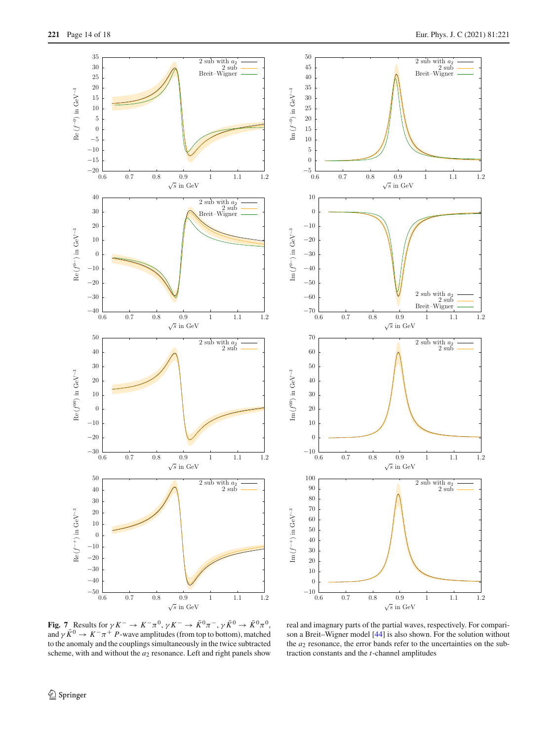





<span id="page-13-0"></span>**Fig.** 7 Results for  $\gamma K^- \to K^- \pi^0$ ,  $\gamma K^- \to \bar{K}^0 \pi^-$ ,  $\gamma \bar{K}^0 \to \bar{K}^0 \pi^0$ , and  $\gamma \bar{K}^0 \rightarrow K^- \pi^+ P$ -wave amplitudes (from top to bottom), matched to the anomaly and the couplings simultaneously in the twice subtracted scheme, with and without the  $a_2$  resonance. Left and right panels show

real and imagnary parts of the partial waves, respectively. For comparison a Breit–Wigner model [\[44\]](#page-16-33) is also shown. For the solution without the  $a_2$  resonance, the error bands refer to the uncertainties on the subtraction constants and the *t*-channel amplitudes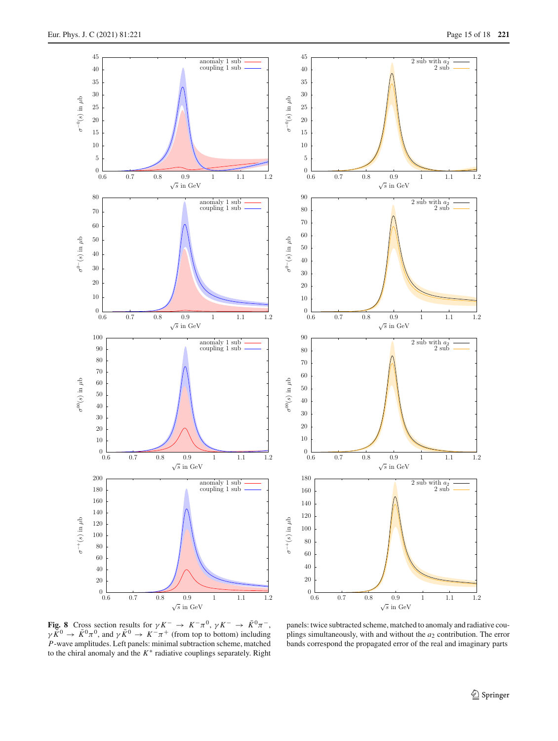

<span id="page-14-0"></span>**Fig. 8** Cross section results for  $\gamma K^- \to K^- \pi^0$ ,  $\gamma K^- \to \bar{K}^0 \pi^-$ ,  $\gamma \bar{K}^0 \to \bar{K}^0 \pi^0$ , and  $\gamma \bar{K}^0 \to K^- \pi^+$  (from top to bottom) including *P*-wave amplitudes. Left panels: minimal subtraction scheme, matched to the chiral anomaly and the *K*∗ radiative couplings separately. Right

panels: twice subtracted scheme, matched to anomaly and radiative couplings simultaneously, with and without the *a*<sup>2</sup> contribution. The error bands correspond the propagated error of the real and imaginary parts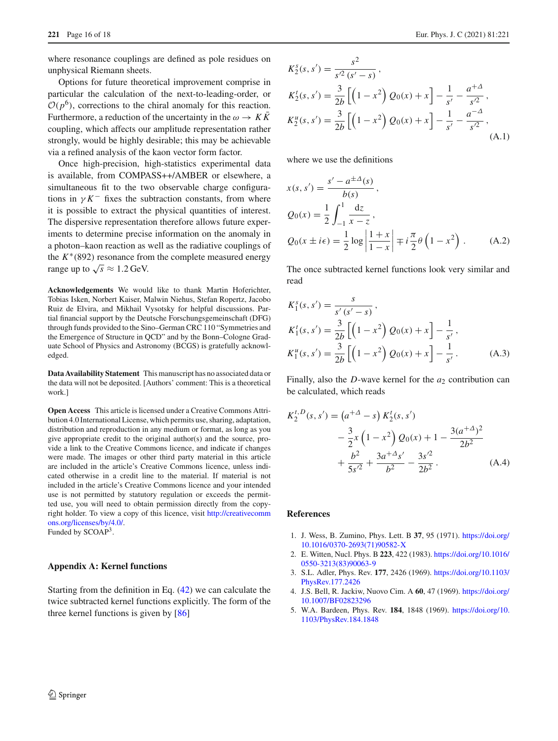where resonance couplings are defined as pole residues on unphysical Riemann sheets.

Options for future theoretical improvement comprise in particular the calculation of the next-to-leading-order, or  $O(p^6)$ , corrections to the chiral anomaly for this reaction. Furthermore, a reduction of the uncertainty in the  $\omega \to K\bar{K}$ coupling, which affects our amplitude representation rather strongly, would be highly desirable; this may be achievable via a refined analysis of the kaon vector form factor.

Once high-precision, high-statistics experimental data is available, from COMPASS++/AMBER or elsewhere, a simultaneous fit to the two observable charge configurations in  $\gamma K^-$  fixes the subtraction constants, from where it is possible to extract the physical quantities of interest. The dispersive representation therefore allows future experiments to determine precise information on the anomaly in a photon–kaon reaction as well as the radiative couplings of the  $K^*(892)$  resonance from the complete measured energy range up to  $\sqrt{s} \approx 1.2$  GeV.

**Acknowledgements** We would like to thank Martin Hoferichter, Tobias Isken, Norbert Kaiser, Malwin Niehus, Stefan Ropertz, Jacobo Ruiz de Elvira, and Mikhail Vysotsky for helpful discussions. Partial financial support by the Deutsche Forschungsgemeinschaft (DFG) through funds provided to the Sino–German CRC 110 "Symmetries and the Emergence of Structure in QCD" and by the Bonn–Cologne Graduate School of Physics and Astronomy (BCGS) is gratefully acknowledged.

**Data Availability Statement** This manuscript has no associated data or the data will not be deposited. [Authors' comment: This is a theoretical work.]

**Open Access** This article is licensed under a Creative Commons Attribution 4.0 International License, which permits use, sharing, adaptation, distribution and reproduction in any medium or format, as long as you give appropriate credit to the original author(s) and the source, provide a link to the Creative Commons licence, and indicate if changes were made. The images or other third party material in this article are included in the article's Creative Commons licence, unless indicated otherwise in a credit line to the material. If material is not included in the article's Creative Commons licence and your intended use is not permitted by statutory regulation or exceeds the permitted use, you will need to obtain permission directly from the copyright holder. To view a copy of this licence, visit [http://creativecomm](http://creativecommons.org/licenses/by/4.0/) [ons.org/licenses/by/4.0/.](http://creativecommons.org/licenses/by/4.0/) Funded by SCOAP3.

#### <span id="page-15-4"></span>**Appendix A: Kernel functions**

Starting from the definition in Eq. [\(42\)](#page-7-1) we can calculate the twice subtracted kernel functions explicitly. The form of the three kernel functions is given by [\[86](#page-17-22)]

$$
K_2^s(s, s') = \frac{s^2}{s'^2 (s' - s)},
$$
  
\n
$$
K_2^t(s, s') = \frac{3}{2b} \left[ \left( 1 - x^2 \right) Q_0(x) + x \right] - \frac{1}{s'} - \frac{a^{2}}{s'^2},
$$
  
\n
$$
K_2^u(s, s') = \frac{3}{2b} \left[ \left( 1 - x^2 \right) Q_0(x) + x \right] - \frac{1}{s'} - \frac{a^{-\Delta}}{s'^2},
$$
  
\n(A.1)

where we use the definitions

$$
x(s, s') = \frac{s' - a^{\pm \Delta}(s)}{b(s)},
$$
  
\n
$$
Q_0(x) = \frac{1}{2} \int_{-1}^{1} \frac{dz}{x - z},
$$
  
\n
$$
Q_0(x \pm i\epsilon) = \frac{1}{2} \log \left| \frac{1 + x}{1 - x} \right| \mp i\frac{\pi}{2} \theta \left( 1 - x^2 \right).
$$
 (A.2)

The once subtracted kernel functions look very similar and read

$$
K_1^s(s, s') = \frac{s}{s'(s'-s)},
$$
  
\n
$$
K_1^t(s, s') = \frac{3}{2b} \left[ \left( 1 - x^2 \right) Q_0(x) + x \right] - \frac{1}{s'},
$$
  
\n
$$
K_1^u(s, s') = \frac{3}{2b} \left[ \left( 1 - x^2 \right) Q_0(x) + x \right] - \frac{1}{s'}.
$$
 (A.3)

Finally, also the *D*-wave kernel for the  $a_2$  contribution can be calculated, which reads

$$
K_2^{t,D}(s,s') = (a^{+\Delta} - s) K_2^t(s,s')
$$
  
 
$$
- \frac{3}{2} x (1 - x^2) Q_0(x) + 1 - \frac{3(a^{+\Delta})^2}{2b^2}
$$
  
 
$$
+ \frac{b^2}{5s'^2} + \frac{3a^{+\Delta}s'}{b^2} - \frac{3s'^2}{2b^2}.
$$
 (A.4)

#### **References**

- <span id="page-15-0"></span>1. J. Wess, B. Zumino, Phys. Lett. B **37**, 95 (1971). [https://doi.org/](https://doi.org/10.1016/0370-2693(71)90582-X) [10.1016/0370-2693\(71\)90582-X](https://doi.org/10.1016/0370-2693(71)90582-X)
- <span id="page-15-1"></span>2. E. Witten, Nucl. Phys. B **223**, 422 (1983). [https://doi.org/10.1016/](https://doi.org/10.1016/0550-3213(83)90063-9) [0550-3213\(83\)90063-9](https://doi.org/10.1016/0550-3213(83)90063-9)
- <span id="page-15-2"></span>3. S.L. Adler, Phys. Rev. **177**, 2426 (1969). [https://doi.org/10.1103/](https://doi.org/10.1103/PhysRev.177.2426) [PhysRev.177.2426](https://doi.org/10.1103/PhysRev.177.2426)
- 4. J.S. Bell, R. Jackiw, Nuovo Cim. A **60**, 47 (1969). [https://doi.org/](https://doi.org/10.1007/BF02823296) [10.1007/BF02823296](https://doi.org/10.1007/BF02823296)
- <span id="page-15-3"></span>5. W.A. Bardeen, Phys. Rev. **184**, 1848 (1969). [https://doi.org/10.](https://doi.org/10.1103/PhysRev.184.1848) [1103/PhysRev.184.1848](https://doi.org/10.1103/PhysRev.184.1848)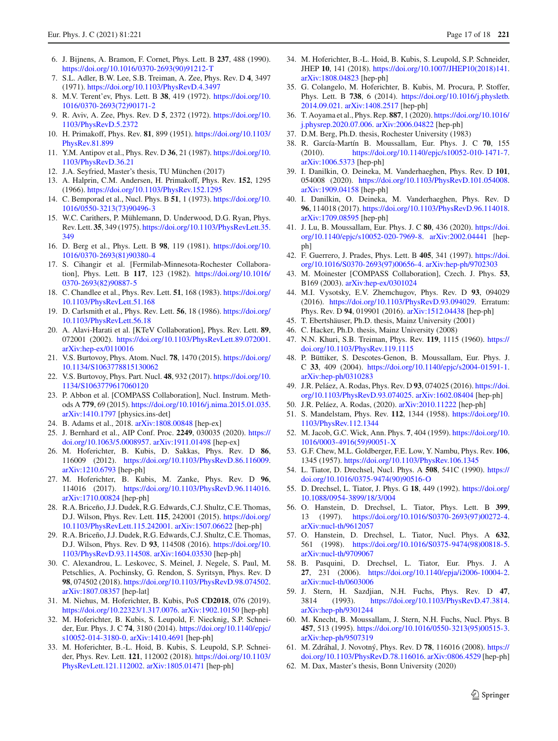- <span id="page-16-1"></span><span id="page-16-0"></span>7. S.L. Adler, B.W. Lee, S.B. Treiman, A. Zee, Phys. Rev. D **4**, 3497 (1971). <https://doi.org/10.1103/PhysRevD.4.3497>
- 8. M.V. Terent'ev, Phys. Lett. B **38**, 419 (1972). [https://doi.org/10.](https://doi.org/10.1016/0370-2693(72)90171-2) [1016/0370-2693\(72\)90171-2](https://doi.org/10.1016/0370-2693(72)90171-2)
- <span id="page-16-2"></span>9. R. Aviv, A. Zee, Phys. Rev. D **5**, 2372 (1972). [https://doi.org/10.](https://doi.org/10.1103/PhysRevD.5.2372) [1103/PhysRevD.5.2372](https://doi.org/10.1103/PhysRevD.5.2372)
- <span id="page-16-3"></span>10. H. Primakoff, Phys. Rev. **81**, 899 (1951). [https://doi.org/10.1103/](https://doi.org/10.1103/PhysRev.81.899) [PhysRev.81.899](https://doi.org/10.1103/PhysRev.81.899)
- <span id="page-16-4"></span>11. Y.M. Antipov et al., Phys. Rev. D **36**, 21 (1987). [https://doi.org/10.](https://doi.org/10.1103/PhysRevD.36.21) [1103/PhysRevD.36.21](https://doi.org/10.1103/PhysRevD.36.21)
- <span id="page-16-5"></span>12. J.A. Seyfried, Master's thesis, TU München (2017)
- <span id="page-16-6"></span>13. A. Halprin, C.M. Andersen, H. Primakoff, Phys. Rev. **152**, 1295 (1966). <https://doi.org/10.1103/PhysRev.152.1295>
- <span id="page-16-7"></span>14. C. Bemporad et al., Nucl. Phys. B **51**, 1 (1973). [https://doi.org/10.](https://doi.org/10.1016/0550-3213(73)90496-3) [1016/0550-3213\(73\)90496-3](https://doi.org/10.1016/0550-3213(73)90496-3)
- <span id="page-16-8"></span>15. W.C. Carithers, P. Mühlemann, D. Underwood, D.G. Ryan, Phys. Rev. Lett. **35**, 349 (1975). [https://doi.org/10.1103/PhysRevLett.35.](https://doi.org/10.1103/PhysRevLett.35.349) [349](https://doi.org/10.1103/PhysRevLett.35.349)
- <span id="page-16-9"></span>16. D. Berg et al., Phys. Lett. B **98**, 119 (1981). [https://doi.org/10.](https://doi.org/10.1016/0370-2693(81)90380-4) [1016/0370-2693\(81\)90380-4](https://doi.org/10.1016/0370-2693(81)90380-4)
- <span id="page-16-47"></span>17. S. Cihangir et al. [Fermilab-Minnesota-Rochester Collaboration], Phys. Lett. B **117**, 123 (1982). [https://doi.org/10.1016/](https://doi.org/10.1016/0370-2693(82)90887-5) [0370-2693\(82\)90887-5](https://doi.org/10.1016/0370-2693(82)90887-5)
- <span id="page-16-11"></span>18. C. Chandlee et al., Phys. Rev. Lett. **51**, 168 (1983). [https://doi.org/](https://doi.org/10.1103/PhysRevLett.51.168) [10.1103/PhysRevLett.51.168](https://doi.org/10.1103/PhysRevLett.51.168)
- <span id="page-16-10"></span>19. D. Carlsmith et al., Phys. Rev. Lett. **56**, 18 (1986). [https://doi.org/](https://doi.org/10.1103/PhysRevLett.56.18) [10.1103/PhysRevLett.56.18](https://doi.org/10.1103/PhysRevLett.56.18)
- <span id="page-16-12"></span>20. A. Alavi-Harati et al. [KTeV Collaboration], Phys. Rev. Lett. **89**, 072001 (2002). [https://doi.org/10.1103/PhysRevLett.89.072001.](https://doi.org/10.1103/PhysRevLett.89.072001) [arXiv:hep-ex/0110016](http://arxiv.org/abs/hep-ex/0110016)
- <span id="page-16-13"></span>21. V.S. Burtovoy, Phys. Atom. Nucl. **78**, 1470 (2015). [https://doi.org/](https://doi.org/10.1134/S1063778815130062) [10.1134/S1063778815130062](https://doi.org/10.1134/S1063778815130062)
- <span id="page-16-14"></span>22. V.S. Burtovoy, Phys. Part. Nucl. **48**, 932 (2017). [https://doi.org/10.](https://doi.org/10.1134/S1063779617060120) [1134/S1063779617060120](https://doi.org/10.1134/S1063779617060120)
- <span id="page-16-15"></span>23. P. Abbon et al. [COMPASS Collaboration], Nucl. Instrum. Methods A **779**, 69 (2015). [https://doi.org/10.1016/j.nima.2015.01.035.](https://doi.org/10.1016/j.nima.2015.01.035) [arXiv:1410.1797](http://arxiv.org/abs/1410.1797) [physics.ins-det]
- 24. B. Adams et al., 2018. [arXiv:1808.00848](http://arxiv.org/abs/1808.00848) [hep-ex]
- <span id="page-16-16"></span>25. J. Bernhard et al., AIP Conf. Proc. **2249**, 030035 (2020). [https://](https://doi.org/10.1063/5.0008957) [doi.org/10.1063/5.0008957.](https://doi.org/10.1063/5.0008957) [arXiv:1911.01498](http://arxiv.org/abs/1911.01498) [hep-ex]
- <span id="page-16-17"></span>26. M. Hoferichter, B. Kubis, D. Sakkas, Phys. Rev. D **86**, 116009 (2012). [https://doi.org/10.1103/PhysRevD.86.116009.](https://doi.org/10.1103/PhysRevD.86.116009) [arXiv:1210.6793](http://arxiv.org/abs/1210.6793) [hep-ph]
- <span id="page-16-18"></span>27. M. Hoferichter, B. Kubis, M. Zanke, Phys. Rev. D **96**, 114016 (2017). [https://doi.org/10.1103/PhysRevD.96.114016.](https://doi.org/10.1103/PhysRevD.96.114016) [arXiv:1710.00824](http://arxiv.org/abs/1710.00824) [hep-ph]
- <span id="page-16-19"></span>28. R.A. Briceño, J.J. Dudek, R.G. Edwards, C.J. Shultz, C.E. Thomas, D.J. Wilson, Phys. Rev. Lett. **115**, 242001 (2015). [https://doi.org/](https://doi.org/10.1103/PhysRevLett.115.242001) [10.1103/PhysRevLett.115.242001.](https://doi.org/10.1103/PhysRevLett.115.242001) [arXiv:1507.06622](http://arxiv.org/abs/1507.06622) [hep-ph]
- 29. R.A. Briceño, J.J. Dudek, R.G. Edwards, C.J. Shultz, C.E. Thomas, D.J. Wilson, Phys. Rev. D **93**, 114508 (2016). [https://doi.org/10.](https://doi.org/10.1103/PhysRevD.93.114508) [1103/PhysRevD.93.114508.](https://doi.org/10.1103/PhysRevD.93.114508) [arXiv:1604.03530](http://arxiv.org/abs/1604.03530) [hep-ph]
- <span id="page-16-20"></span>30. C. Alexandrou, L. Leskovec, S. Meinel, J. Negele, S. Paul, M. Petschlies, A. Pochinsky, G. Rendon, S. Syritsyn, Phys. Rev. D **98**, 074502 (2018). [https://doi.org/10.1103/PhysRevD.98.074502.](https://doi.org/10.1103/PhysRevD.98.074502) [arXiv:1807.08357](http://arxiv.org/abs/1807.08357) [hep-lat]
- <span id="page-16-21"></span>31. M. Niehus, M. Hoferichter, B. Kubis, PoS **CD2018**, 076 (2019). [https://doi.org/10.22323/1.317.0076.](https://doi.org/10.22323/1.317.0076) [arXiv:1902.10150](http://arxiv.org/abs/1902.10150) [hep-ph]
- <span id="page-16-22"></span>32. M. Hoferichter, B. Kubis, S. Leupold, F. Niecknig, S.P. Schneider, Eur. Phys. J. C **74**, 3180 (2014). [https://doi.org/10.1140/epjc/](https://doi.org/10.1140/epjc/s10052-014-3180-0) [s10052-014-3180-0.](https://doi.org/10.1140/epjc/s10052-014-3180-0) [arXiv:1410.4691](http://arxiv.org/abs/1410.4691) [hep-ph]
- 33. M. Hoferichter, B.-L. Hoid, B. Kubis, S. Leupold, S.P. Schneider, Phys. Rev. Lett. **121**, 112002 (2018). [https://doi.org/10.1103/](https://doi.org/10.1103/PhysRevLett.121.112002) [PhysRevLett.121.112002.](https://doi.org/10.1103/PhysRevLett.121.112002) [arXiv:1805.01471](http://arxiv.org/abs/1805.01471) [hep-ph]
- <span id="page-16-23"></span>34. M. Hoferichter, B.-L. Hoid, B. Kubis, S. Leupold, S.P. Schneider, JHEP **10**, 141 (2018). [https://doi.org/10.1007/JHEP10\(2018\)141.](https://doi.org/10.1007/JHEP10(2018)141) [arXiv:1808.04823](http://arxiv.org/abs/1808.04823) [hep-ph]
- <span id="page-16-24"></span>35. G. Colangelo, M. Hoferichter, B. Kubis, M. Procura, P. Stoffer, Phys. Lett. B **738**, 6 (2014). [https://doi.org/10.1016/j.physletb.](https://doi.org/10.1016/j.physletb.2014.09.021) [2014.09.021.](https://doi.org/10.1016/j.physletb.2014.09.021) [arXiv:1408.2517](http://arxiv.org/abs/1408.2517) [hep-ph]
- <span id="page-16-25"></span>36. T. Aoyama et al., Phys. Rep. **887**, 1 (2020). [https://doi.org/10.1016/](https://doi.org/10.1016/j.physrep.2020.07.006) [j.physrep.2020.07.006.](https://doi.org/10.1016/j.physrep.2020.07.006) [arXiv:2006.04822](http://arxiv.org/abs/2006.04822) [hep-ph]
- <span id="page-16-26"></span>37. D.M. Berg, Ph.D. thesis, Rochester University (1983)
- <span id="page-16-27"></span>38. R. García-Martín B. Moussallam, Eur. Phys. J. C **70**, 155 (2010). [https://doi.org/10.1140/epjc/s10052-010-1471-7.](https://doi.org/10.1140/epjc/s10052-010-1471-7) [arXiv:1006.5373](http://arxiv.org/abs/1006.5373) [hep-ph]
- <span id="page-16-28"></span>39. I. Danilkin, O. Deineka, M. Vanderhaeghen, Phys. Rev. D **101**, 054008 (2020). [https://doi.org/10.1103/PhysRevD.101.054008.](https://doi.org/10.1103/PhysRevD.101.054008) [arXiv:1909.04158](http://arxiv.org/abs/1909.04158) [hep-ph]
- <span id="page-16-29"></span>40. I. Danilkin, O. Deineka, M. Vanderhaeghen, Phys. Rev. D **96**, 114018 (2017). [https://doi.org/10.1103/PhysRevD.96.114018.](https://doi.org/10.1103/PhysRevD.96.114018) [arXiv:1709.08595](http://arxiv.org/abs/1709.08595) [hep-ph]
- <span id="page-16-30"></span>41. J. Lu, B. Moussallam, Eur. Phys. J. C **80**, 436 (2020). [https://doi.](https://doi.org/10.1140/epjc/s10052-020-7969-8) [org/10.1140/epjc/s10052-020-7969-8.](https://doi.org/10.1140/epjc/s10052-020-7969-8) [arXiv:2002.04441](http://arxiv.org/abs/2002.04441) [hepph]
- <span id="page-16-31"></span>42. F. Guerrero, J. Prades, Phys. Lett. B **405**, 341 (1997). [https://doi.](https://doi.org/10.1016/S0370-2693(97)00656-4) [org/10.1016/S0370-2693\(97\)00656-4.](https://doi.org/10.1016/S0370-2693(97)00656-4) [arXiv:hep-ph/9702303](http://arxiv.org/abs/hep-ph/9702303)
- <span id="page-16-32"></span>43. M. Moinester [COMPASS Collaboration], Czech. J. Phys. **53**, B169 (2003). [arXiv:hep-ex/0301024](http://arxiv.org/abs/hep-ex/0301024)
- <span id="page-16-33"></span>44. M.I. Vysotsky, E.V. Zhemchugov, Phys. Rev. D **93**, 094029 (2016). [https://doi.org/10.1103/PhysRevD.93.094029.](https://doi.org/10.1103/PhysRevD.93.094029) Erratum: Phys. Rev. D **94**, 019901 (2016). [arXiv:1512.04438](http://arxiv.org/abs/1512.04438) [hep-ph]
- <span id="page-16-34"></span>45. T. Ebertshäuser, Ph.D. thesis, Mainz University (2001)
- <span id="page-16-35"></span>46. C. Hacker, Ph.D. thesis, Mainz University (2008)
- <span id="page-16-36"></span>47. N.N. Khuri, S.B. Treiman, Phys. Rev. **119**, 1115 (1960). [https://](https://doi.org/10.1103/PhysRev.119.1115) [doi.org/10.1103/PhysRev.119.1115](https://doi.org/10.1103/PhysRev.119.1115)
- <span id="page-16-37"></span>48. P. Büttiker, S. Descotes-Genon, B. Moussallam, Eur. Phys. J. C **33**, 409 (2004). [https://doi.org/10.1140/epjc/s2004-01591-1.](https://doi.org/10.1140/epjc/s2004-01591-1) [arXiv:hep-ph/0310283](http://arxiv.org/abs/hep-ph/0310283)
- <span id="page-16-40"></span>49. J.R. Peláez, A. Rodas, Phys. Rev. D **93**, 074025 (2016). [https://doi.](https://doi.org/10.1103/PhysRevD.93.074025) [org/10.1103/PhysRevD.93.074025.](https://doi.org/10.1103/PhysRevD.93.074025) [arXiv:1602.08404](http://arxiv.org/abs/1602.08404) [hep-ph]
- <span id="page-16-38"></span>50. J.R. Peláez, A. Rodas, (2020). [arXiv:2010.11222](http://arxiv.org/abs/2010.11222) [hep-ph]
- <span id="page-16-39"></span>51. S. Mandelstam, Phys. Rev. **112**, 1344 (1958). [https://doi.org/10.](https://doi.org/10.1103/PhysRev.112.1344) [1103/PhysRev.112.1344](https://doi.org/10.1103/PhysRev.112.1344)
- <span id="page-16-41"></span>52. M. Jacob, G.C. Wick, Ann. Phys. **7**, 404 (1959). [https://doi.org/10.](https://doi.org/10.1016/0003-4916(59)90051-X) [1016/0003-4916\(59\)90051-X](https://doi.org/10.1016/0003-4916(59)90051-X)
- <span id="page-16-42"></span>53. G.F. Chew, M.L. Goldberger, F.E. Low, Y. Nambu, Phys. Rev. **106**, 1345 (1957). <https://doi.org/10.1103/PhysRev.106.1345>
- 54. L. Tiator, D. Drechsel, Nucl. Phys. A **508**, 541C (1990). [https://](https://doi.org/10.1016/0375-9474(90)90516-O) [doi.org/10.1016/0375-9474\(90\)90516-O](https://doi.org/10.1016/0375-9474(90)90516-O)
- 55. D. Drechsel, L. Tiator, J. Phys. G **18**, 449 (1992). [https://doi.org/](https://doi.org/10.1088/0954-3899/18/3/004) [10.1088/0954-3899/18/3/004](https://doi.org/10.1088/0954-3899/18/3/004)
- 56. O. Hanstein, D. Drechsel, L. Tiator, Phys. Lett. B **399**, 13 (1997). [https://doi.org/10.1016/S0370-2693\(97\)00272-4.](https://doi.org/10.1016/S0370-2693(97)00272-4) [arXiv:nucl-th/9612057](http://arxiv.org/abs/nucl-th/9612057)
- 57. O. Hanstein, D. Drechsel, L. Tiator, Nucl. Phys. A **632**, 561 (1998). [https://doi.org/10.1016/S0375-9474\(98\)00818-5.](https://doi.org/10.1016/S0375-9474(98)00818-5) [arXiv:nucl-th/9709067](http://arxiv.org/abs/nucl-th/9709067)
- <span id="page-16-43"></span>58. B. Pasquini, D. Drechsel, L. Tiator, Eur. Phys. J. A **27**, 231 (2006). [https://doi.org/10.1140/epja/i2006-10004-2.](https://doi.org/10.1140/epja/i2006-10004-2) [arXiv:nucl-th/0603006](http://arxiv.org/abs/nucl-th/0603006)
- <span id="page-16-44"></span>59. J. Stern, H. Sazdjian, N.H. Fuchs, Phys. Rev. D **47**, 3814 (1993). [https://doi.org/10.1103/PhysRevD.47.3814.](https://doi.org/10.1103/PhysRevD.47.3814) [arXiv:hep-ph/9301244](http://arxiv.org/abs/hep-ph/9301244)
- 60. M. Knecht, B. Moussallam, J. Stern, N.H. Fuchs, Nucl. Phys. B **457**, 513 (1995). [https://doi.org/10.1016/0550-3213\(95\)00515-3.](https://doi.org/10.1016/0550-3213(95)00515-3) [arXiv:hep-ph/9507319](http://arxiv.org/abs/hep-ph/9507319)
- <span id="page-16-45"></span>61. M. Zdráhal, J. Novotný, Phys. Rev. D **78**, 116016 (2008). [https://](https://doi.org/10.1103/PhysRevD.78.116016) [doi.org/10.1103/PhysRevD.78.116016.](https://doi.org/10.1103/PhysRevD.78.116016) [arXiv:0806.4529](http://arxiv.org/abs/0806.4529) [hep-ph]
- <span id="page-16-46"></span>62. M. Dax, Master's thesis, Bonn University (2020)